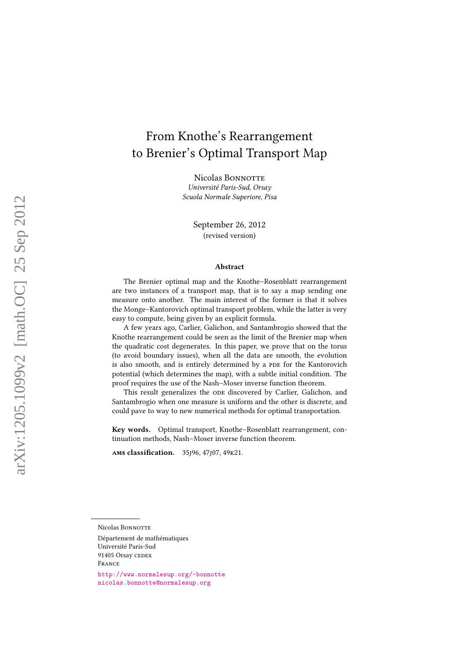# From Knothe's Rearrangement to Brenier's Optimal Transport Map

Nicolas BONNOTTE Université Paris-Sud, Orsay Scuola Normale Superiore, Pisa

> September 26, 2012 (revised version)

#### Abstract

The Brenier optimal map and the Knothe–Rosenblatt rearrangement are two instances of a transport map, that is to say a map sending one measure onto another. The main interest of the former is that it solves the Monge–Kantorovich optimal transport problem, while the latter is very easy to compute, being given by an explicit formula.

A few years ago, Carlier, Galichon, and Santambrogio showed that the Knothe rearrangement could be seen as the limit of the Brenier map when the quadratic cost degenerates. In this paper, we prove that on the torus (to avoid boundary issues), when all the data are smooth, the evolution is also smooth, and is entirely determined by a PDE for the Kantorovich potential (which determines the map), with a subtle initial condition. The proof requires the use of the Nash–Moser inverse function theorem.

This result generalizes the ODE discovered by Carlier, Galichon, and Santambrogio when one measure is uniform and the other is discrete, and could pave to way to new numerical methods for optimal transportation.

Key words. Optimal transport, Knothe–Rosenblatt rearrangement, continuation methods, Nash–Moser inverse function theorem.

ams classification. 35j96, 47j07, 49k21.

Université Paris-Sud 91405 Orsay CEDEX

<http://www.normalesup.org/~bonnotte> <nicolas.bonnotte@normalesup.org>

Nicolas BONNOTTE

Département de mathématiques

France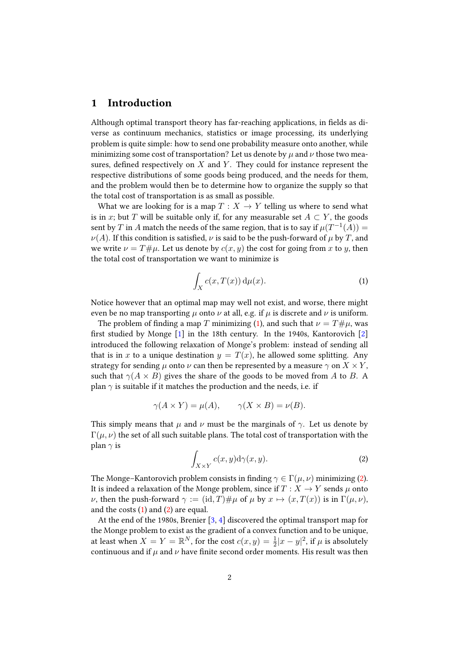#### 1 Introduction

Although optimal transport theory has far-reaching applications, in fields as diverse as continuum mechanics, statistics or image processing, its underlying problem is quite simple: how to send one probability measure onto another, while minimizing some cost of transportation? Let us denote by  $\mu$  and  $\nu$  those two measures, defined respectively on  $X$  and  $Y$ . They could for instance represent the respective distributions of some goods being produced, and the needs for them, and the problem would then be to determine how to organize the supply so that the total cost of transportation is as small as possible.

What we are looking for is a map  $T : X \rightarrow Y$  telling us where to send what is in x; but T will be suitable only if, for any measurable set  $A \subset Y$ , the goods sent by  $T$  in  $A$  match the needs of the same region, that is to say if  $\mu(T^{-1}(A)) =$  $\nu(A)$ . If this condition is satisfied,  $\nu$  is said to be the push-forward of  $\mu$  by T, and we write  $\nu = T \# \mu$ . Let us denote by  $c(x, y)$  the cost for going from x to y, then the total cost of transportation we want to minimize is

<span id="page-1-0"></span>
$$
\int_{X} c(x, T(x)) d\mu(x).
$$
 (1)

Notice however that an optimal map may well not exist, and worse, there might even be no map transporting  $\mu$  onto  $\nu$  at all, e.g. if  $\mu$  is discrete and  $\nu$  is uniform.

The problem of finding a map T minimizing [\(1\)](#page-1-0), and such that  $\nu = T\#\mu$ , was first studied by Monge  $[1]$  in the 18th century. In the 1940s, Kantorovich  $[2]$ introduced the following relaxation of Monge's problem: instead of sending all that is in x to a unique destination  $y = T(x)$ , he allowed some splitting. Any strategy for sending  $\mu$  onto  $\nu$  can then be represented by a measure  $\gamma$  on  $X \times Y$ , such that  $\gamma(A \times B)$  gives the share of the goods to be moved from A to B. A plan  $\gamma$  is suitable if it matches the production and the needs, i.e. if

$$
\gamma(A \times Y) = \mu(A), \qquad \gamma(X \times B) = \nu(B).
$$

<span id="page-1-1"></span>This simply means that  $\mu$  and  $\nu$  must be the marginals of  $\gamma$ . Let us denote by  $\Gamma(\mu, \nu)$  the set of all such suitable plans. The total cost of transportation with the plan  $\gamma$  is

$$
\int_{X \times Y} c(x, y) \mathrm{d}\gamma(x, y). \tag{2}
$$

The Monge–Kantorovich problem consists in finding  $\gamma \in \Gamma(\mu, \nu)$  minimizing [\(2\)](#page-1-1). It is indeed a relaxation of the Monge problem, since if  $T : X \rightarrow Y$  sends  $\mu$  onto  $\nu$ , then the push-forward  $\gamma := (\mathrm{id}, T) \# \mu$  of  $\mu$  by  $x \mapsto (x, T(x))$  is in  $\Gamma(\mu, \nu)$ , and the costs [\(1\)](#page-1-0) and [\(2\)](#page-1-1) are equal.

At the end of the 1980s, Brenier [\[3,](#page-27-2) [4\]](#page-28-0) discovered the optimal transport map for the Monge problem to exist as the gradient of a convex function and to be unique, at least when  $X = Y = \mathbb{R}^N$ , for the cost  $c(x, y) = \frac{1}{2}|x - y|^2$ , if  $\mu$  is absolutely continuous and if  $\mu$  and  $\nu$  have finite second order moments. His result was then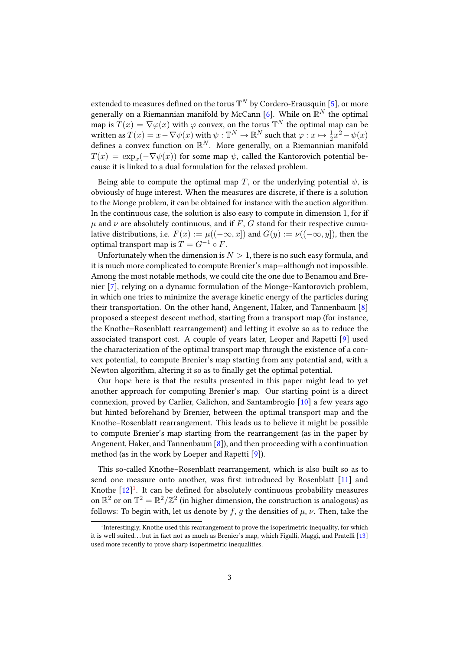extended to measures defined on the torus  $\mathbb{T}^N$  by Cordero-Erausquin [\[5\]](#page-28-1), or more generally on a Riemannian manifold by McCann [\[6\]](#page-28-2). While on  $\mathbb{R}^N$  the optimal map is  $T(x) = \nabla \varphi(x)$  with  $\varphi$  convex, on the torus  $\mathbb{T}^N$  the optimal map can be written as  $T(x) = x - \nabla \psi(x)$  with  $\psi : \mathbb{T}^N \to \mathbb{R}^N$  such that  $\varphi : x \mapsto \frac{1}{2}x^2 - \psi(x)$ defines a convex function on  $\mathbb{R}^N$ . More generally, on a Riemannian manifold  $T(x) = \exp_x(-\nabla \psi(x))$  for some map  $\psi$ , called the Kantorovich potential because it is linked to a dual formulation for the relaxed problem.

Being able to compute the optimal map T, or the underlying potential  $\psi$ , is obviously of huge interest. When the measures are discrete, if there is a solution to the Monge problem, it can be obtained for instance with the auction algorithm. In the continuous case, the solution is also easy to compute in dimension 1, for if  $\mu$  and  $\nu$  are absolutely continuous, and if F, G stand for their respective cumulative distributions, i.e.  $F(x) := \mu((-\infty, x])$  and  $G(y) := \nu((-\infty, y])$ , then the optimal transport map is  $T = G^{-1} \circ F$ .

Unfortunately when the dimension is  $N > 1$ , there is no such easy formula, and it is much more complicated to compute Brenier's map—although not impossible. Among the most notable methods, we could cite the one due to Benamou and Brenier [\[7\]](#page-28-3), relying on a dynamic formulation of the Monge–Kantorovich problem, in which one tries to minimize the average kinetic energy of the particles during their transportation. On the other hand, Angenent, Haker, and Tannenbaum [\[8\]](#page-28-4) proposed a steepest descent method, starting from a transport map (for instance, the Knothe–Rosenblatt rearrangement) and letting it evolve so as to reduce the associated transport cost. A couple of years later, Leoper and Rapetti [\[9\]](#page-28-5) used the characterization of the optimal transport map through the existence of a convex potential, to compute Brenier's map starting from any potential and, with a Newton algorithm, altering it so as to finally get the optimal potential.

Our hope here is that the results presented in this paper might lead to yet another approach for computing Brenier's map. Our starting point is a direct connexion, proved by Carlier, Galichon, and Santambrogio [\[10\]](#page-28-6) a few years ago but hinted beforehand by Brenier, between the optimal transport map and the Knothe–Rosenblatt rearrangement. This leads us to believe it might be possible to compute Brenier's map starting from the rearrangement (as in the paper by Angenent, Haker, and Tannenbaum [\[8\]](#page-28-4)), and then proceeding with a continuation method (as in the work by Loeper and Rapetti [\[9\]](#page-28-5)).

This so-called Knothe–Rosenblatt rearrangement, which is also built so as to send one measure onto another, was first introduced by Rosenblatt [\[11\]](#page-28-7) and Knothe  $[12]$ <sup>[1](#page-2-0)</sup>. It can be defined for absolutely continuous probability measures on  $\mathbb{R}^2$  or on  $\mathbb{T}^2 = \mathbb{R}^2/\mathbb{Z}^2$  (in higher dimension, the construction is analogous) as follows: To begin with, let us denote by f, g the densities of  $\mu$ ,  $\nu$ . Then, take the

<span id="page-2-0"></span><sup>&</sup>lt;sup>1</sup>Interestingly, Knothe used this rearrangement to prove the isoperimetric inequality, for which it is well suited. . . but in fact not as much as Brenier's map, which Figalli, Maggi, and Pratelli [\[13\]](#page-28-9) used more recently to prove sharp isoperimetric inequalities.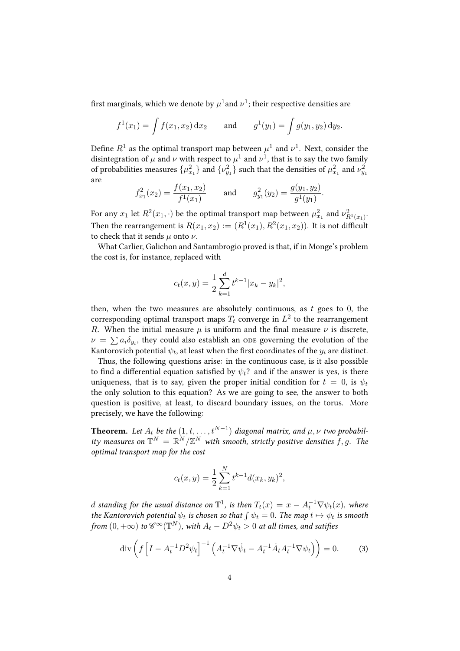first marginals, which we denote by  $\mu^1$ and  $\nu^1$ ; their respective densities are

$$
f^1(x_1) = \int f(x_1, x_2) dx_2
$$
 and  $g^1(y_1) = \int g(y_1, y_2) dy_2$ .

Define  $R^1$  as the optimal transport map between  $\mu^1$  and  $\nu^1$ . Next, consider the disintegration of  $\mu$  and  $\nu$  with respect to  $\mu^1$  and  $\nu^1$ , that is to say the two family of probabilities measures  $\{\mu_{x_1}^2\}$  and  $\{\nu_{y_1}^2\}$  such that the densities of  $\mu_{x_1}^2$  and  $\nu_{y_1}^2$ are

$$
f_{x_1}^2(x_2) = \frac{f(x_1, x_2)}{f^1(x_1)}
$$
 and  $g_{y_1}^2(y_2) = \frac{g(y_1, y_2)}{g^1(y_1)}$ .

For any  $x_1$  let  $R^2(x_1, \cdot)$  be the optimal transport map between  $\mu_{x_1}^2$  and  $\nu_{R^1(x_1)}^2.$ Then the rearrangement is  $R(x_1, x_2) := (R^1(x_1), R^2(x_1, x_2))$ . It is not difficult to check that it sends  $\mu$  onto  $\nu$ .

What Carlier, Galichon and Santambrogio proved is that, if in Monge's problem the cost is, for instance, replaced with

$$
c_t(x,y) = \frac{1}{2} \sum_{k=1}^d t^{k-1} |x_k - y_k|^2,
$$

then, when the two measures are absolutely continuous, as  $t$  goes to 0, the corresponding optimal transport maps  $T_t$  converge in  $L^2$  to the rearrangement R. When the initial measure  $\mu$  is uniform and the final measure  $\nu$  is discrete,  $\nu = \sum a_i \delta_{y_i}$ , they could also establish an one governing the evolution of the Kantorovich potential  $\psi_t$ , at least when the first coordinates of the  $y_i$  are distinct.

Thus, the following questions arise: in the continuous case, is it also possible to find a differential equation satisfied by  $\psi_t$ ? and if the answer is yes, is there uniqueness, that is to say, given the proper initial condition for  $t = 0$ , is  $\psi_t$ the only solution to this equation? As we are going to see, the answer to both question is positive, at least, to discard boundary issues, on the torus. More precisely, we have the following:

**Theorem.** Let  $A_t$  be the  $(1, t, \ldots, t^{N-1})$  diagonal matrix, and  $\mu, \nu$  two probability measures on  $\mathbb{T}^N = \mathbb{R}^N/\mathbb{Z}^N$  with smooth, strictly positive densities  $f, g$ . The optimal transport map for the cost

<span id="page-3-0"></span>
$$
c_t(x,y) = \frac{1}{2} \sum_{k=1}^{N} t^{k-1} d(x_k, y_k)^2,
$$

d standing for the usual distance on  $\mathbb{T}^1$ , is then  $T_t(x) = x - A_t^{-1} \nabla \psi_t(x)$ , where the Kantorovich potential  $\psi_t$  is chosen so that  $\int \psi_t = 0$ . The map  $t \mapsto \psi_t$  is smooth from  $(0, +\infty)$  to  $\mathscr{C}^{\infty}(\mathbb{T}^{N})$ , with  $A_{t} - D^{2}\psi_{t} > 0$  at all times, and satifies

$$
\operatorname{div}\left(f\left[I - A_t^{-1}D^2\psi_t\right]^{-1}\left(A_t^{-1}\nabla\psi_t - A_t^{-1}\dot{A}_tA_t^{-1}\nabla\psi_t\right)\right) = 0. \tag{3}
$$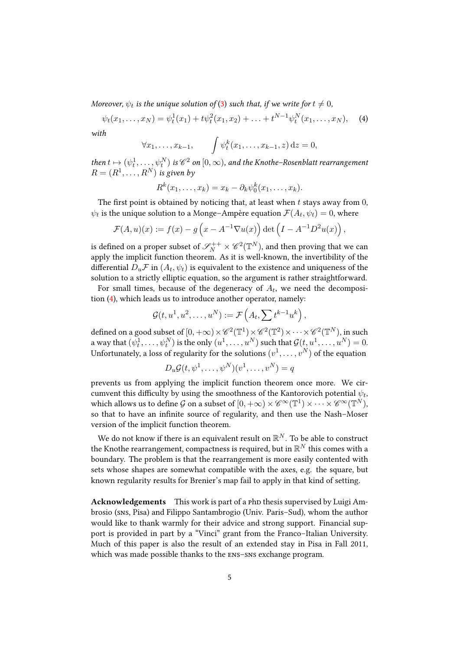Moreover,  $\psi_t$  is the unique solution of [\(3\)](#page-3-0) such that, if we write for  $t\neq 0$ ,

$$
\psi_t(x_1,\ldots,x_N)=\psi_t^1(x_1)+t\psi_t^2(x_1,x_2)+\ldots+t^{N-1}\psi_t^N(x_1,\ldots,x_N),\quad (4)
$$

with

<span id="page-4-0"></span>
$$
\forall x_1, \ldots, x_{k-1}, \qquad \int \psi_t^k(x_1, \ldots, x_{k-1}, z) \, \mathrm{d}z = 0,
$$

then  $t \mapsto (\psi^1_t, \dots, \psi^N_t)$  is  $\mathscr C^2$  on  $[0, \infty)$ , and the Knothe–Rosenblatt rearrangement  $R = (R^1, \ldots, R^N)$  is given by

$$
R^k(x_1,\ldots,x_k)=x_k-\partial_k\psi_0^k(x_1,\ldots,x_k).
$$

The first point is obtained by noticing that, at least when  $t$  stays away from  $0$ ,  $\psi_t$  is the unique solution to a Monge–Ampère equation  $\mathcal{F}(A_t, \psi_t) = 0$ , where

$$
\mathcal{F}(A, u)(x) := f(x) - g\left(x - A^{-1} \nabla u(x)\right) \det \left(I - A^{-1} D^2 u(x)\right),
$$

is defined on a proper subset of  $\mathscr{S}^{++}_N\times \mathscr{C}^2(\mathbb{T}^N)$ , and then proving that we can apply the implicit function theorem. As it is well-known, the invertibility of the differential  $D_u \mathcal{F}$  in  $(A_t, \psi_t)$  is equivalent to the existence and uniqueness of the solution to a strictly elliptic equation, so the argument is rather straightforward.

For small times, because of the degeneracy of  $A_t$ , we need the decomposition [\(4\)](#page-4-0), which leads us to introduce another operator, namely:

$$
\mathcal{G}(t, u^1, u^2, \dots, u^N) := \mathcal{F}\left(A_t, \sum t^{k-1} u^k\right),
$$

defined on a good subset of  $[0,+\infty)\times \mathscr{C}^2(\mathbb{T}^1)\times \mathscr{C}^2(\mathbb{T}^2)\times \cdots \times \mathscr{C}^2(\mathbb{T}^N)$ , in such a way that  $(\psi^1_t, \dots, \psi^N_t)$  is the only  $(u^1, \dots, u^N)$  such that  $\mathcal{G}(t, u^1, \dots, u^N) = 0.$ Unfortunately, a loss of regularity for the solutions  $(v^1,\ldots,v^N)$  of the equation

$$
D_u \mathcal{G}(t, \psi^1, \dots, \psi^N)(v^1, \dots, v^N) = q
$$

prevents us from applying the implicit function theorem once more. We circumvent this difficulty by using the smoothness of the Kantorovich potential  $\psi_t$ , which allows us to define  $\mathcal G$  on a subset of  $[0,+\infty)\times{\mathscr{C}^\infty}(\mathbb{T}^1)\times\cdots\times{\mathscr{C}^\infty}(\mathbb{T}^N),$ so that to have an infinite source of regularity, and then use the Nash–Moser version of the implicit function theorem.

We do not know if there is an equivalent result on  $\mathbb{R}^N$ . To be able to construct the Knothe rearrangement, compactness is required, but in  $\mathbb{R}^N$  this comes with a boundary. The problem is that the rearrangement is more easily contented with sets whose shapes are somewhat compatible with the axes, e.g. the square, but known regularity results for Brenier's map fail to apply in that kind of setting.

Acknowledgements This work is part of a php thesis supervised by Luigi Ambrosio (sns, Pisa) and Filippo Santambrogio (Univ. Paris–Sud), whom the author would like to thank warmly for their advice and strong support. Financial support is provided in part by a "Vinci" grant from the Franco–Italian University. Much of this paper is also the result of an extended stay in Pisa in Fall 2011, which was made possible thanks to the ens–sns exchange program.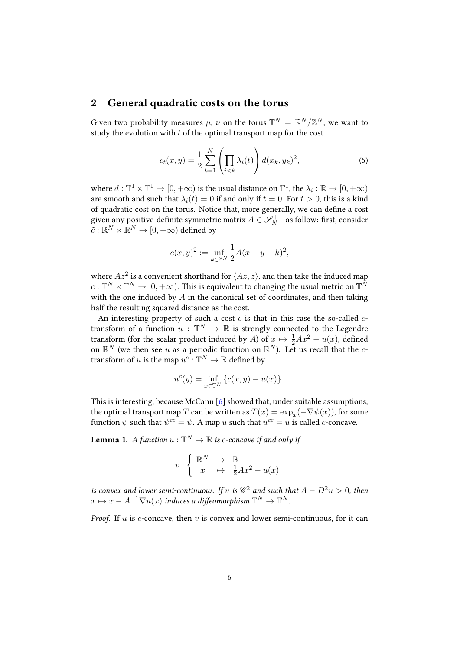#### 2 General quadratic costs on the torus

Given two probability measures  $\mu$ ,  $\nu$  on the torus  $\mathbb{T}^N = \mathbb{R}^N/\mathbb{Z}^N$ , we want to study the evolution with  $t$  of the optimal transport map for the cost

<span id="page-5-1"></span>
$$
c_t(x,y) = \frac{1}{2} \sum_{k=1}^{N} \left( \prod_{i < k} \lambda_i(t) \right) d(x_k, y_k)^2,\tag{5}
$$

where  $d: \mathbb{T}^1 \times \mathbb{T}^1 \to [0, +\infty)$  is the usual distance on  $\mathbb{T}^1$ , the  $\lambda_i: \mathbb{R} \to [0, +\infty)$ are smooth and such that  $\lambda_i(t) = 0$  if and only if  $t = 0$ . For  $t > 0$ , this is a kind of quadratic cost on the torus. Notice that, more generally, we can define a cost given any positive-definite symmetric matrix  $A \in \mathscr{S}_{N}^{++}$  as follow: first, consider  $\tilde{c}:\mathbb{R}^N\times\mathbb{\bar R}^N\to[0,+\infty)$  defined by

$$
\tilde{c}(x,y)^2:=\inf_{k\in\mathbb{Z}^N}\frac{1}{2}A(x-y-k)^2,
$$

where  $Az^2$  is a convenient shorthand for  $\langle Az, z \rangle$ , and then take the induced map  $c: \mathbb{T}^N\times \mathbb{T}^N\to [0,+\infty).$  This is equivalent to changing the usual metric on  $\mathbb{T}^N$ with the one induced by  $A$  in the canonical set of coordinates, and then taking half the resulting squared distance as the cost.

An interesting property of such a cost  $c$  is that in this case the so-called  $c$ transform of a function  $u$  :  $\mathbb{T}^N \to \mathbb{R}$  is strongly connected to the Legendre transform (for the scalar product induced by A) of  $x \mapsto \frac{1}{2}Ax^2 - u(x)$ , defined on  $\mathbb{R}^N$  (we then see u as a periodic function on  $\mathbb{R}^N$ ). Let us recall that the ctransform of  $u$  is the map  $u^c: \mathbb{T}^N \to \mathbb{R}$  defined by

$$
u^{c}(y) = \inf_{x \in \mathbb{T}^{N}} \{c(x, y) - u(x)\}.
$$

This is interesting, because McCann [\[6\]](#page-28-2) showed that, under suitable assumptions, the optimal transport map  $T$  can be written as  $T(x) = \exp_x(-\nabla \psi(x))$ , for some function  $\psi$  such that  $\psi^{cc} = \psi$ . A map u such that  $u^{cc} = u$  is called c-concave.

<span id="page-5-0"></span>**Lemma 1.** A function  $u : \mathbb{T}^N \to \mathbb{R}$  is c-concave if and only if

$$
v: \left\{ \begin{array}{ccc} \mathbb{R}^N & \to & \mathbb{R} \\ x & \mapsto & \frac{1}{2}Ax^2 - u(x) \end{array} \right.
$$

is convex and lower semi-continuous. If  $u$  is  $\mathscr{C}^2$  and such that  $A - D^2 u > 0$ , then  $x\mapsto x-A^{-1}\nabla u(x)$  induces a diffeomorphism  $\mathbb{T}^N\to\mathbb{T}^N.$ 

*Proof.* If  $u$  is  $c$ -concave, then  $v$  is convex and lower semi-continuous, for it can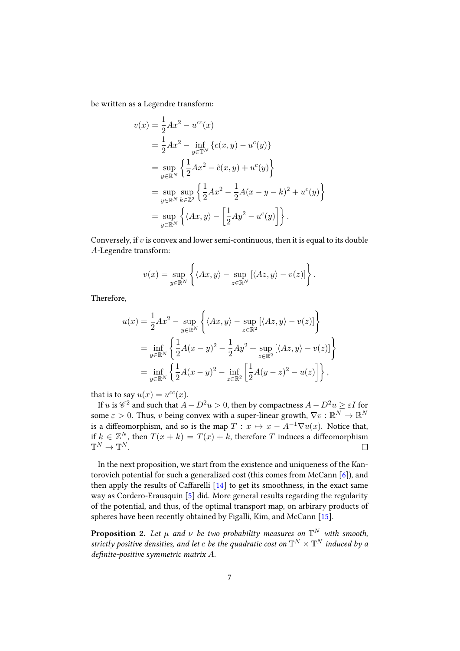be written as a Legendre transform:

$$
v(x) = \frac{1}{2}Ax^{2} - u^{cc}(x)
$$
  
=  $\frac{1}{2}Ax^{2} - \inf_{y \in \mathbb{T}^{N}} \{c(x, y) - u^{c}(y)\}$   
=  $\sup_{y \in \mathbb{R}^{N}} \left\{ \frac{1}{2}Ax^{2} - \tilde{c}(x, y) + u^{c}(y) \right\}$   
=  $\sup_{y \in \mathbb{R}^{N}} \sup_{k \in \mathbb{Z}^{2}} \left\{ \frac{1}{2}Ax^{2} - \frac{1}{2}A(x - y - k)^{2} + u^{c}(y) \right\}$   
=  $\sup_{y \in \mathbb{R}^{N}} \left\{ \langle Ax, y \rangle - \left[ \frac{1}{2}Ay^{2} - u^{c}(y) \right] \right\}.$ 

Conversely, if  $v$  is convex and lower semi-continuous, then it is equal to its double -Legendre transform:

$$
v(x) = \sup_{y \in \mathbb{R}^N} \left\{ \langle Ax, y \rangle - \sup_{z \in \mathbb{R}^N} \left[ \langle Az, y \rangle - v(z) \right] \right\}.
$$

Therefore,

$$
u(x) = \frac{1}{2}Ax^{2} - \sup_{y \in \mathbb{R}^{N}} \left\{ \langle Ax, y \rangle - \sup_{z \in \mathbb{R}^{2}} \left[ \langle Az, y \rangle - v(z) \right] \right\}
$$
  
= 
$$
\inf_{y \in \mathbb{R}^{N}} \left\{ \frac{1}{2}A(x - y)^{2} - \frac{1}{2}Ay^{2} + \sup_{z \in \mathbb{R}^{2}} \left[ \langle Az, y \rangle - v(z) \right] \right\}
$$
  
= 
$$
\inf_{y \in \mathbb{R}^{N}} \left\{ \frac{1}{2}A(x - y)^{2} - \inf_{z \in \mathbb{R}^{2}} \left[ \frac{1}{2}A(y - z)^{2} - u(z) \right] \right\},
$$

that is to say  $u(x) = u^{cc}(x)$ .

If  $u$  is  $\mathscr C^2$  and such that  $A-D^2u>0,$  then by compactness  $A-D^2u\geq \varepsilon I$  for some  $\varepsilon > 0$ . Thus,  $v$  being convex with a super-linear growth,  $\nabla v : \mathbb{R}^N \to \mathbb{R}^N$ is a diffeomorphism, and so is the map  $T : x \mapsto x - A^{-1} \nabla u(x)$ . Notice that, if  $k \in \mathbb{Z}^N$ , then  $T(x + k) = T(x) + k$ , therefore T induces a diffeomorphism  $\mathbb{T}^N \to \mathbb{T}^N$ .  $\Box$ 

In the next proposition, we start from the existence and uniqueness of the Kantorovich potential for such a generalized cost (this comes from McCann [\[6\]](#page-28-2)), and then apply the results of Caffarelli  $[14]$  to get its smoothness, in the exact same way as Cordero-Erausquin [\[5\]](#page-28-1) did. More general results regarding the regularity of the potential, and thus, of the optimal transport map, on arbirary products of spheres have been recently obtained by Figalli, Kim, and McCann [\[15\]](#page-28-11).

<span id="page-6-0"></span>**Proposition 2.** Let  $\mu$  and  $\nu$  be two probability measures on  $\mathbb{T}^N$  with smooth, strictly positive densities, and let  $c$  be the quadratic cost on  $\mathbb{T}^N\times\mathbb{T}^N$  induced by a definite-positive symmetric matrix  $A$ .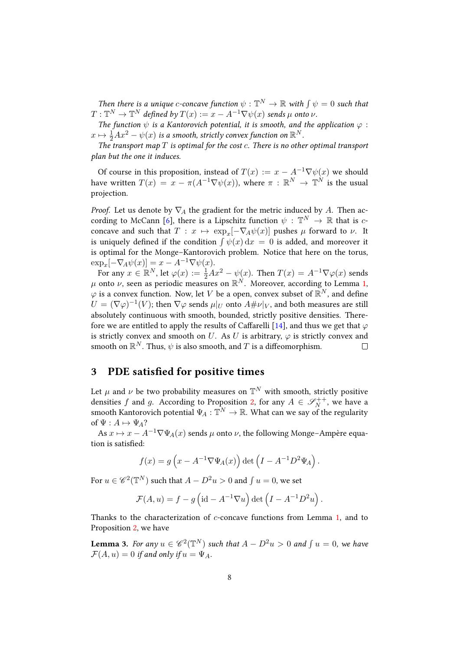Then there is a unique c-concave function  $\psi : \mathbb{T}^N \to \mathbb{R}$  with  $\int \psi = 0$  such that  $T: \mathbb{T}^N \to \mathbb{T}^N$  defined by  $T(x) := x - A^{-1} \nabla \psi(x)$  sends  $\mu$  onto  $\nu.$ 

The function  $\psi$  is a Kantorovich potential, it is smooth, and the application  $\varphi$ :  $x\mapsto \frac{1}{2}Ax^2-\psi(x)$  is a smooth, strictly convex function on  $\mathbb{R}^N.$ 

The transport map  $T$  is optimal for the cost  $c$ . There is no other optimal transport plan but the one it induces.

Of course in this proposition, instead of  $T(x) := x - A^{-1} \nabla \psi(x)$  we should have written  $T(x) = x - \pi(A^{-1} \nabla \psi(x))$ , where  $\pi : \mathbb{R}^N \to \mathbb{T}^N$  is the usual projection.

*Proof.* Let us denote by  $\nabla_A$  the gradient for the metric induced by A. Then ac-cording to McCann [\[6\]](#page-28-2), there is a Lipschitz function  $\psi : \mathbb{T}^N \to \mathbb{R}$  that is cconcave and such that  $T : x \mapsto \exp_x[-\nabla_A \psi(x)]$  pushes  $\mu$  forward to  $\nu$ . It is uniquely defined if the condition  $\int \psi(x) dx = 0$  is added, and moreover it is optimal for the Monge–Kantorovich problem. Notice that here on the torus,  $\exp_x[-\nabla_A \psi(x)] = x - A^{-1} \nabla \psi(x).$ 

For any  $x\in \mathbb{R}^N$ , let  $\varphi(x):=\frac{1}{2}Ax^2-\psi(x).$  Then  $T(x)=A^{-1}\nabla\varphi(x)$  sends  $\mu$  onto  $\nu$ , seen as periodic measures on  $\mathbb{R}^N$ . Moreover, according to Lemma [1,](#page-5-0)  $\varphi$  is a convex function. Now, let V be a open, convex subset of  $\mathbb{R}^N$ , and define  $U = (\nabla \varphi)^{-1}(V)$ ; then  $\nabla \varphi$  sends  $\mu|_U$  onto  $A \# \nu|_V$ , and both measures are still absolutely continuous with smooth, bounded, strictly positive densities. There-fore we are entitled to apply the results of Caffarelli [\[14\]](#page-28-10), and thus we get that  $\varphi$ is strictly convex and smooth on U. As U is arbitrary,  $\varphi$  is strictly convex and smooth on  $\mathbb{R}^N$ . Thus,  $\psi$  is also smooth, and  $T$  is a diffeomorphism.  $\Box$ 

# <span id="page-7-1"></span>3 PDE satisfied for positive times

Let  $\mu$  and  $\nu$  be two probability measures on  $\mathbb{T}^N$  with smooth, strictly positive densities f and g. According to Proposition [2,](#page-6-0) for any  $A \in \mathscr{S}_N^{++}$ , we have a smooth Kantorovich potential  $\Psi_A : \mathbb{T}^N \to \mathbb{R}$ . What can we say of the regularity of  $\Psi : A \mapsto \Psi_A$ ?

As  $x \mapsto x - A^{-1} \nabla \Psi_A(x)$  sends  $\mu$  onto  $\nu$ , the following Monge–Ampère equation is satisfied:

$$
f(x) = g\left(x - A^{-1}\nabla\Psi_A(x)\right) \det\left(I - A^{-1}D^2\Psi_A\right).
$$

For  $u \in \mathscr{C}^2(\mathbb{T}^N)$  such that  $A - D^2u > 0$  and  $\int u = 0$ , we set

$$
\mathcal{F}(A, u) = f - g \left( id - A^{-1} \nabla u \right) det \left( I - A^{-1} D^2 u \right).
$$

Thanks to the characterization of  $c$ -concave functions from Lemma [1,](#page-5-0) and to Proposition [2,](#page-6-0) we have

<span id="page-7-0"></span>**Lemma 3.** For any  $u \in \mathscr{C}^2(\mathbb{T}^N)$  such that  $A - D^2u > 0$  and  $\int u = 0$ , we have  $\mathcal{F}(A, u) = 0$  if and only if  $u = \Psi_A$ .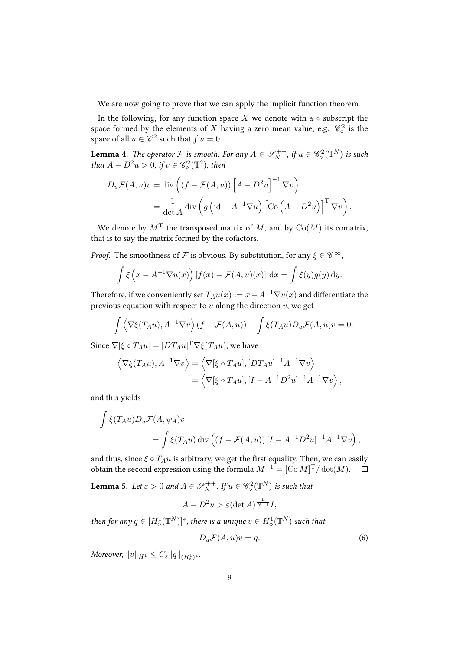We are now going to prove that we can apply the implicit function theorem.

In the following, for any function space X we denote with a  $\diamond$  subscript the space formed by the elements of  $X$  having a zero mean value, e.g.  $\mathscr{C}^2_\diamond$  is the space of all  $u \in \mathscr{C}^2$  such that  $\int u = 0$ .

<span id="page-8-2"></span>**Lemma 4.** The operator F is smooth. For any  $A \in \mathscr{S}_{N}^{++}$ , if  $u \in \mathscr{C}_{\diamond}^{2}(\mathbb{T}^{N})$  is such that  $A - D^2u > 0$ , if  $v \in \mathscr{C}_\diamond^2(\mathbb{T}^2)$ , then

$$
D_u \mathcal{F}(A, u)v = \text{div}\left((f - \mathcal{F}(A, u))\left[A - D^2 u\right]^{-1} \nabla v\right)
$$
  
= 
$$
\frac{1}{\det A} \text{div}\left(g\left(\text{id} - A^{-1} \nabla u\right)\left[\text{Co}\left(A - D^2 u\right)\right]^{\text{T}} \nabla v\right).
$$

We denote by  $M<sup>T</sup>$  the transposed matrix of M, and by  $Co(M)$  its comatrix, that is to say the matrix formed by the cofactors.

*Proof.* The smoothness of  $\mathcal F$  is obvious. By substitution, for any  $\xi \in \mathscr C^\infty$ ,

$$
\int \xi \left( x - A^{-1} \nabla u(x) \right) [f(x) - \mathcal{F}(A, u)(x)] dx = \int \xi(y) g(y) dy.
$$

Therefore, if we conveniently set  $T_A u(x) := x - A^{-1} \nabla u(x)$  and differentiate the previous equation with respect to  $u$  along the direction  $v$ , we get

$$
-\int \left\langle \nabla \xi(T_A u), A^{-1} \nabla v \right\rangle (f - \mathcal{F}(A, u)) - \int \xi(T_A u) D_u \mathcal{F}(A, u) v = 0.
$$

Since  $\nabla[\xi \circ T_A u] = [DT_A u]^T \nabla \xi(T_A u)$ , we have

$$
\langle \nabla \xi(T_A u), A^{-1} \nabla v \rangle = \langle \nabla [\xi \circ T_A u], [DT_A u]^{-1} A^{-1} \nabla v \rangle
$$
  
= 
$$
\langle \nabla [\xi \circ T_A u], [I - A^{-1} D^2 u]^{-1} A^{-1} \nabla v \rangle,
$$

and this yields

$$
\int \xi(T_A u) D_u \mathcal{F}(A, \psi_A) v
$$
  
= 
$$
\int \xi(T_A u) \operatorname{div} \left( (f - \mathcal{F}(A, u)) [I - A^{-1} D^2 u]^{-1} A^{-1} \nabla v \right),
$$

and thus, since  $\xi \circ T_A u$  is arbitrary, we get the first equality. Then, we can easily obtain the second expression using the formula  $M^{-1} = [\text{Co }M]^T / \det(M)$ .  $\Box$ 

<span id="page-8-1"></span>**Lemma 5.** Let  $\varepsilon > 0$  and  $A \in \mathscr{S}_{N}^{++}$ . If  $u \in \mathscr{C}_{\diamond}^{2}(\mathbb{T}^{N})$  is such that

$$
A - D^2 u > \varepsilon (\det A)^{\frac{1}{N-1}} I,
$$

then for any  $q\in [H^1_\diamond(\mathbb{T}^N)]^*$ , there is a unique  $v\in H^1_\diamond(\mathbb{T}^N)$  such that

<span id="page-8-0"></span>
$$
D_u \mathcal{F}(A, u)v = q. \tag{6}
$$

Moreover,  $||v||_{H^1} \leq C_{\varepsilon} ||q||_{(H^1_{\diamond})^*}.$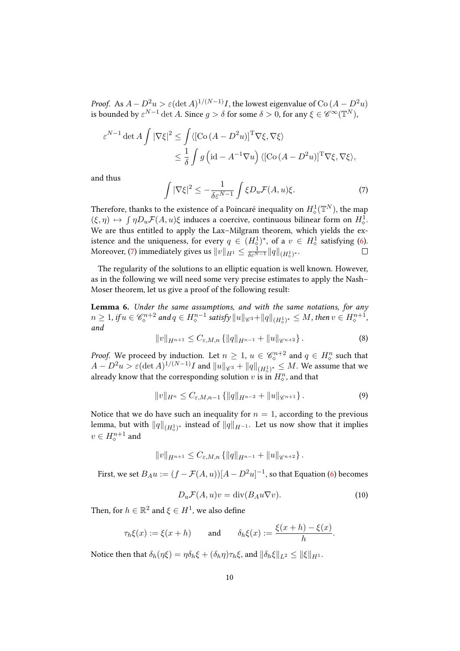*Proof.* As  $A - D^2 u > \varepsilon (\det A)^{1/(N-1)} I$ , the lowest eigenvalue of Co  $(A - D^2 u)$ is bounded by  $\varepsilon^{N-1}$  det A. Since  $g > \delta$  for some  $\delta > 0$ , for any  $\xi \in \mathscr{C}^{\infty}(\mathbb{T}^N)$ ,

$$
\varepsilon^{N-1} \det A \int |\nabla \xi|^2 \le \int \langle [\mathrm{Co}\,(A - D^2 u)]^{\mathrm{T}} \nabla \xi, \nabla \xi \rangle
$$
  
 
$$
\le \frac{1}{\delta} \int g \left( \mathrm{id} - A^{-1} \nabla u \right) \langle [\mathrm{Co}\,(A - D^2 u)]^{\mathrm{T}} \nabla \xi, \nabla \xi \rangle,
$$

<span id="page-9-0"></span>and thus

$$
\int |\nabla \xi|^2 \le -\frac{1}{\delta \varepsilon^{N-1}} \int \xi D_u \mathcal{F}(A, u)\xi. \tag{7}
$$

Therefore, thanks to the existence of a Poincaré inequality on  $H^1_{\diamond}(\mathbb{T}^N)$ , the map  $(\xi, \eta) \mapsto \int \eta D_u \mathcal{F}(A, u) \xi$  induces a coercive, continuous bilinear form on  $H^1_{\diamond}$ . We are thus entitled to apply the Lax–Milgram theorem, which yields the existence and the uniqueness, for every  $q \in (H_{\diamond}^{1})^{*}$ , of a  $v \in H_{\diamond}^{1}$  satisfying [\(6\)](#page-8-0). Moreover, [\(7\)](#page-9-0) immediately gives us  $\|v\|_{H^1}\leq \frac{1}{\delta \varepsilon^{N-1}}\|q\|_{(H^1_\diamond)^*}.$ 

The regularity of the solutions to an elliptic equation is well known. However, as in the following we will need some very precise estimates to apply the Nash– Moser theorem, let us give a proof of the following result:

<span id="page-9-3"></span>Lemma 6. Under the same assumptions, and with the same notations, for any  $n\geq 1$ , if  $u\in \mathscr{C}^{n+2}_\diamond$  and  $q\in H^{n-1}_\diamond$  satisfy  $\|u\|_{\mathscr{C}^3}+\|q\|_{(H^1_\diamond)^*}\leq M$ , then  $v\in H^{n+1}_\diamond$ , and

$$
||v||_{H^{n+1}} \leq C_{\varepsilon,M,n} \{ ||q||_{H^{n-1}} + ||u||_{\mathscr{C}^{n+2}} \}.
$$
 (8)

*Proof.* We proceed by induction. Let  $n \geq 1$ ,  $u \in \mathcal{C}_{\diamond}^{n+2}$  and  $q \in H_{\diamond}^n$  such that  $A-D^2u>\varepsilon (\det A)^{1/(N-1)}I$  and  $\|u\|_{\mathscr{C}^3}+\|q\|_{(H^1_\diamond)^*}\leq M.$  We assume that we already know that the corresponding solution  $v$  is in  $H^n_{\diamond}$ , and that

<span id="page-9-2"></span>
$$
||v||_{H^n} \leq C_{\varepsilon,M,n-1} \{ ||q||_{H^{n-2}} + ||u||_{\mathscr{C}^{n+1}} \}.
$$
\n(9)

Notice that we do have such an inequality for  $n = 1$ , according to the previous lemma, but with  $\|q\|_{(H^1_\diamond)^*}$  instead of  $\|q\|_{H^{-1}}.$  Let us now show that it implies  $v\in H^{n+1}_\diamond$  and

$$
||v||_{H^{n+1}} \leq C_{\varepsilon,M,n} \{||q||_{H^{n-1}} + ||u||_{\mathscr{C}^{n+2}}\}.
$$

<span id="page-9-1"></span>First, we set  $B_A u := (f - \mathcal{F}(A,u)) [A - D^2 u]^{-1}$ , so that Equation [\(6\)](#page-8-0) becomes

$$
D_u \mathcal{F}(A, u)v = \text{div}(B_A u \nabla v).
$$
 (10)

Then, for  $h \in \mathbb{R}^2$  and  $\xi \in H^1$ , we also define

$$
\tau_h \xi(x) := \xi(x+h) \quad \text{and} \quad \delta_h \xi(x) := \frac{\xi(x+h) - \xi(x)}{h}.
$$

Notice then that  $\delta_h(\eta \xi) = \eta \delta_h \xi + (\delta_h \eta) \tau_h \xi$ , and  $\|\delta_h \xi\|_{L^2} \leq \|\xi\|_{H^1}$ .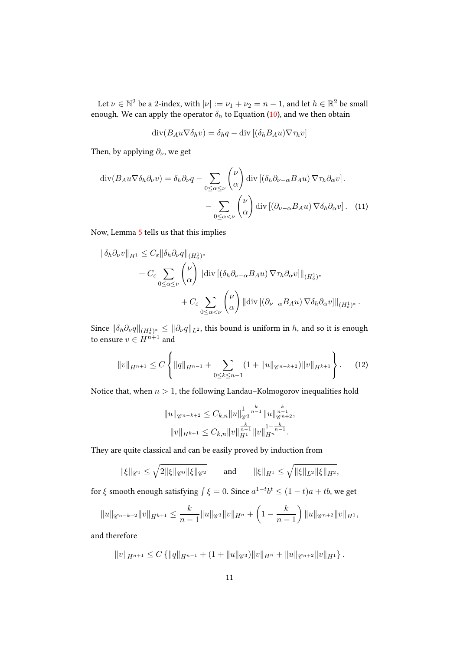Let  $\nu \in \mathbb{N}^2$  be a 2-index, with  $|\nu| := \nu_1 + \nu_2 = n - 1$ , and let  $h \in \mathbb{R}^2$  be small enough. We can apply the operator  $\delta_h$  to Equation [\(10\)](#page-9-1), and we then obtain

$$
\operatorname{div}(B_A u \nabla \delta_h v) = \delta_h q - \operatorname{div} [(\delta_h B_A u) \nabla \tau_h v]
$$

Then, by applying *∂*, we get

$$
\operatorname{div}(B_A u \nabla \delta_h \partial_\nu v) = \delta_h \partial_\nu q - \sum_{0 \le \alpha \le \nu} {\nu \choose \alpha} \operatorname{div} \left[ (\delta_h \partial_{\nu - \alpha} B_A u) \nabla \tau_h \partial_\alpha v \right].
$$

$$
- \sum_{0 \le \alpha < \nu} {\nu \choose \alpha} \operatorname{div} \left[ (\partial_{\nu - \alpha} B_A u) \nabla \delta_h \partial_\alpha v \right]. \tag{11}
$$

Now, Lemma [5](#page-8-1) tells us that this implies

$$
\begin{aligned}\n\|\delta_h \partial_\nu v\|_{H^1} &\leq C_\varepsilon \|\delta_h \partial_\nu q\|_{(H^1_\diamond)^*} \\
&+ C_\varepsilon \sum_{0 \leq \alpha \leq \nu} {\nu \choose \alpha} \|\text{div}\left[ (\delta_h \partial_{\nu - \alpha} B_A u) \, \nabla \tau_h \partial_\alpha v \right]\|_{(H^1_\diamond)^*} \\
&\quad + C_\varepsilon \sum_{0 \leq \alpha < \nu} {\nu \choose \alpha} \|\text{div}\left[ (\partial_{\nu - \alpha} B_A u) \, \nabla \delta_h \partial_\alpha v \right]\|_{(H^1_\diamond)^*}.\n\end{aligned}
$$

Since  $\|\delta_h\partial_\nu q\|_{(H^1_\diamond)^*}\leq \|\partial_\nu q\|_{L^2}$ , this bound is uniform in *h*, and so it is enough to ensure  $v \in H^{n+1}$  and

<span id="page-10-0"></span>
$$
||v||_{H^{n+1}} \leq C \left\{ ||q||_{H^{n-1}} + \sum_{0 \leq k \leq n-1} (1 + ||u||_{\mathscr{C}^{n-k+2}}) ||v||_{H^{k+1}} \right\}.
$$
 (12)

Notice that, when  $n > 1$ , the following Landau–Kolmogorov inequalities hold

$$
||u||_{\mathscr{C}^{n-k+2}} \leq C_{k,n}||u||_{\mathscr{C}^3}^{1-\frac{k}{n-1}}||u||_{\mathscr{C}^{n+2}}^{\frac{k}{n-1}},
$$
  

$$
||v||_{H^{k+1}} \leq C_{k,n}||v||_{H^1}^{\frac{k}{n-1}}||v||_{H^n}^{1-\frac{k}{n-1}}.
$$

They are quite classical and can be easily proved by induction from

$$
\|\xi\|_{\mathscr{C}^1} \leq \sqrt{2\|\xi\|_{\mathscr{C}^0}\|\xi\|_{\mathscr{C}^2}}
$$
 and  $\|\xi\|_{H^1} \leq \sqrt{\|\xi\|_{L^2}\|\xi\|_{H^2}},$ 

for  $\xi$  smooth enough satisfying  $\int \xi = 0$ . Since  $a^{1-t}b^t \leq (1-t)a + tb$ , we get

$$
||u||_{\mathscr{C}^{n-k+2}}||v||_{H^{k+1}} \leq \frac{k}{n-1}||u||_{\mathscr{C}^3}||v||_{H^n} + \left(1 - \frac{k}{n-1}\right)||u||_{\mathscr{C}^{n+2}}||v||_{H^1},
$$

and therefore

 $||v||_{H^{n+1}} \leq C \{ ||q||_{H^{n-1}} + (1 + ||u||_{\mathscr{C}^3}) ||v||_{H^n} + ||u||_{\mathscr{C}^{n+2}} ||v||_{H^1} \}.$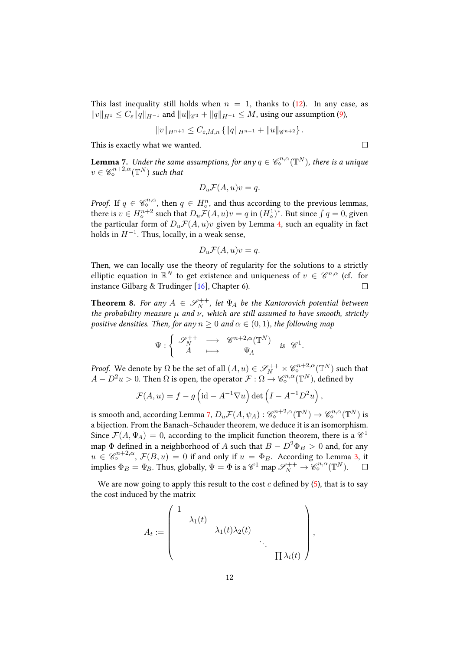This last inequality still holds when  $n = 1$ , thanks to [\(12\)](#page-10-0). In any case, as  $||v||_{H_1} \leq C_{\varepsilon} ||q||_{H^{-1}}$  and  $||u||_{\mathscr{C}^3} + ||q||_{H^{-1}} \leq M$ , using our assumption [\(9\)](#page-9-2),

$$
||v||_{H^{n+1}} \leq C_{\varepsilon,M,n} \{ ||q||_{H^{n-1}} + ||u||_{\mathscr{C}^{n+2}} \}.
$$

This is exactly what we wanted.

 $\Box$ 

<span id="page-11-0"></span>**Lemma** 7. Under the same assumptions, for any  $q \in \mathscr{C}^{n,\alpha}_\diamond(\mathbb{T}^N)$ , there is a unique  $v \in \mathscr{C}^{n+2,\alpha}_{\diamond}(\mathbb{T}^N)$  such that

$$
D_u \mathcal{F}(A, u)v = q.
$$

*Proof.* If  $q \in \mathcal{C}_\diamond^{n,\alpha}$ , then  $q \in H_\diamond^n$ , and thus according to the previous lemmas, there is  $v \in H^{n+2}_{\diamond}$  such that  $D_u \mathcal{F}(A, u)v = q$  in  $(H^1_{\diamond})^*$ . But since  $\int q = 0$ , given the particular form of  $D_u \mathcal{F}(A, u)v$  given by Lemma [4,](#page-8-2) such an equality in fact holds in  $H^{-1}$ . Thus, locally, in a weak sense,

$$
D_u \mathcal{F}(A, u)v = q.
$$

Then, we can locally use the theory of regularity for the solutions to a strictly elliptic equation in  $\mathbb{R}^N$  to get existence and uniqueness of  $v \in \mathscr{C}^{n,\alpha}$  (cf. for instance Gilbarg & Trudinger [\[16\]](#page-28-12), Chapter 6).

<span id="page-11-1"></span>**Theorem 8.** For any  $A \in \mathscr{S}_{N}^{++}$ , let  $\Psi_A$  be the Kantorovich potential between the probability measure  $\mu$  and  $\nu$ , which are still assumed to have smooth, strictly positive densities. Then, for any  $n \geq 0$  and  $\alpha \in (0,1)$ , the following map

$$
\Psi : \left\{ \begin{array}{ccc} \mathscr{S}_{N}^{++} & \longrightarrow & \mathscr{C}^{n+2,\alpha}(\mathbb{T}^{N}) \\ A & \longmapsto & \Psi_{\!A} \end{array} \right. \quad \text{is} \quad \mathscr{C}^{1}.
$$

*Proof.* We denote by  $\Omega$  be the set of all  $(A, u) \in \mathscr{S}_N^{++} \times \mathscr{C}_\diamond^{n+2, \alpha} (\mathbb{T}^N)$  such that  $A - D^2 u > 0$ . Then  $\Omega$  is open, the operator  $\mathcal{F}: \Omega \to \mathscr{C}^{n,\alpha}_{\diamond}(\mathbb{T}^N)$ , defined by

$$
\mathcal{F}(A, u) = f - g \left( id - A^{-1} \nabla u \right) det \left( I - A^{-1} D^2 u \right),
$$

is smooth and, according Lemma [7,](#page-11-0)  $D_u \mathcal{F}(A,\psi_A): \mathscr{C}^{n+2,\alpha}_\diamond(\mathbb{T}^N) \to \mathscr{C}^{n,\alpha}_\diamond(\mathbb{T}^N)$  is a bijection. From the Banach–Schauder theorem, we deduce it is an isomorphism. Since  $\mathcal{F}(A, \Psi_A) = 0$ , according to the implicit function theorem, there is a  $\mathscr{C}^1$ map  $\Phi$  defined in a neighborhood of A such that  $B - D^2 \Phi_B > 0$  and, for any  $u \in \mathscr{C}_{\diamond}^{n+2,\alpha}, \mathcal{F}(B,u) = 0$  if and only if  $u = \Phi_B$ . According to Lemma [3,](#page-7-0) it implies  $\Phi_B = \Psi_B$ . Thus, globally,  $\Psi = \Phi$  is a  $\mathscr{C}^1$  map  $\mathscr{S}_N^{++} \to \mathscr{C}_\diamond^{n,\alpha}(\mathbb{T}^N)$ .

We are now going to apply this result to the cost  $c$  defined by [\(5\)](#page-5-1), that is to say the cost induced by the matrix

$$
A_t := \begin{pmatrix} 1 & & & \\ & \lambda_1(t) & & & \\ & & \lambda_1(t)\lambda_2(t) & & \\ & & & \ddots & \\ & & & & \prod \lambda_i(t) \end{pmatrix},
$$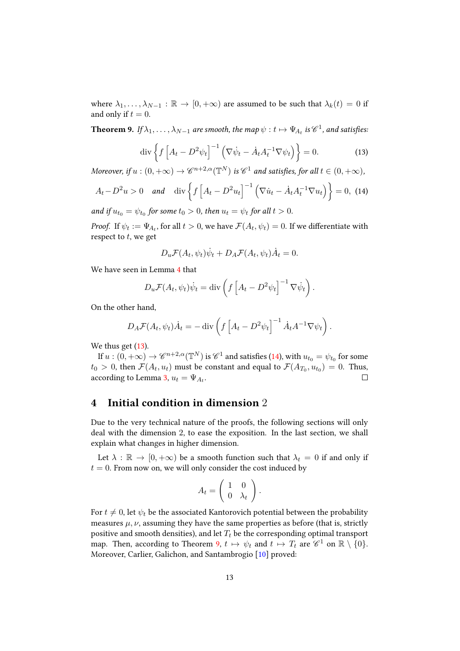where  $\lambda_1, \ldots, \lambda_{N-1} : \mathbb{R} \to [0, +\infty)$  are assumed to be such that  $\lambda_k(t) = 0$  if and only if  $t = 0$ .

<span id="page-12-2"></span><span id="page-12-0"></span>**Theorem 9.** If  $\lambda_1, \ldots, \lambda_{N-1}$  are smooth, the map  $\psi : t \mapsto \Psi_{A_t}$  is  $\mathscr{C}^1$ , and satisfies:

$$
\operatorname{div}\left\{f\left[A_t - D^2\psi_t\right]^{-1}\left(\nabla\dot{\psi}_t - \dot{A}_t A_t^{-1}\nabla\psi_t\right)\right\} = 0. \tag{13}
$$

Moreover, if  $u:(0,+\infty) \to \mathscr{C}^{n+2,\alpha}({\mathbb T}^N)$  is  $\mathscr{C}^1$  and satisfies, for all  $t \in (0,+\infty)$ ,

$$
A_t - D^2 u > 0 \quad \text{and} \quad \text{div}\left\{f\left[A_t - D^2 u_t\right]^{-1} \left(\nabla \dot{u}_t - \dot{A}_t A_t^{-1} \nabla u_t\right)\right\} = 0, \tag{14}
$$

and if  $u_{t_0} = \psi_{t_0}$  for some  $t_0 > 0$ , then  $u_t = \psi_t$  for all  $t > 0$ .

*Proof.* If  $\psi_t := \Psi_{A_t}$ , for all  $t > 0$ , we have  $\mathcal{F}(A_t, \psi_t) = 0$ . If we differentiate with respect to  $t$ , we get

<span id="page-12-1"></span>
$$
D_u \mathcal{F}(A_t, \psi_t) \dot{\psi}_t + D_A \mathcal{F}(A_t, \psi_t) \dot{A}_t = 0.
$$

We have seen in Lemma [4](#page-8-2) that

$$
D_u \mathcal{F}(A_t, \psi_t) \dot{\psi}_t = \text{div}\left(f\left[A_t - D^2 \psi_t\right]^{-1} \nabla \dot{\psi}_t\right).
$$

On the other hand,

$$
D_A \mathcal{F}(A_t, \psi_t) \dot{A}_t = -\operatorname{div}\left(f \left[A_t - D^2 \psi_t\right]^{-1} \dot{A}_t A^{-1} \nabla \psi_t\right).
$$

We thus get  $(13)$ .

If  $u:(0,+\infty)\to \mathscr{C}^{n+2,\alpha}(\mathbb{T}^N)$  is  $\mathscr{C}^1$  and satisfies [\(14\)](#page-12-1), with  $u_{t_0}=\psi_{t_0}$  for some  $t_0 > 0$ , then  $\mathcal{F}(A_t, u_t)$  must be constant and equal to  $\mathcal{F}(A_{T_0}, u_{t_0}) = 0$ . Thus, according to Lemma [3,](#page-7-0)  $u_t = \Psi_{A_t}$ .  $\Box$ 

#### 4 Initial condition in dimension 2

Due to the very technical nature of the proofs, the following sections will only deal with the dimension 2, to ease the exposition. In the last section, we shall explain what changes in higher dimension.

Let  $\lambda : \mathbb{R} \to [0, +\infty)$  be a smooth function such that  $\lambda_t = 0$  if and only if  $t = 0$ . From now on, we will only consider the cost induced by

$$
A_t = \left(\begin{array}{cc} 1 & 0 \\ 0 & \lambda_t \end{array}\right).
$$

For  $t \neq 0$ , let  $\psi_t$  be the associated Kantorovich potential between the probability measures  $\mu$ ,  $\nu$ , assuming they have the same properties as before (that is, strictly positive and smooth densities), and let  $T_t$  be the corresponding optimal transport map. Then, according to Theorem [9,](#page-12-2)  $t \mapsto \psi_t$  and  $t \mapsto T_t$  are  $\mathscr{C}^1$  on  $\mathbb{R} \setminus \{0\}$ . Moreover, Carlier, Galichon, and Santambrogio [\[10\]](#page-28-6) proved: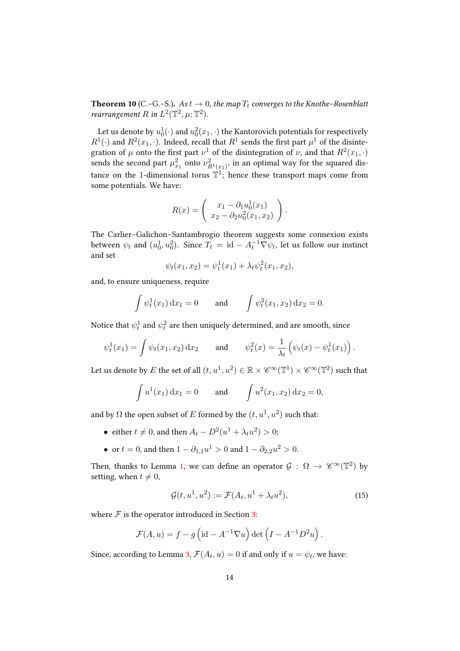**Theorem 10** (C.–G.–S.). As  $t \to 0$ , the map  $T_t$  converges to the Knothe–Rosenblatt *rearrangement* R in  $L^2(\mathbb{T}^2, \mu; \mathbb{T}^2)$ .

Let us denote by  $u^1_0(\cdot)$  and  $u^2_0(x_1,\cdot)$  the Kantorovich potentials for respectively  $R^1(\cdot)$  and  $R^2(x_1, \cdot)$ . Indeed, recall that  $R^1$  sends the first part  $\mu^1$  of the disintegration of  $\mu$  onto the first part  $\nu^1$  of the disintegration of  $\nu$ , and that  $R^2(x_1, \cdot)$ sends the second part  $\mu_{x_1}^2$  onto  $\nu_{R^1(x_1)}^2$ , in an optimal way for the squared distance on the 1-dimensional torus  $\mathbb{T}^1$ ; hence these transport maps come from some potentials. We have:

$$
R(x) = \begin{pmatrix} x_1 - \partial_1 u_0^1(x_1) \\ x_2 - \partial_2 u_0^2(x_1, x_2) \end{pmatrix}.
$$

The Carlier–Galichon–Santambrogio theorem suggests some connexion exists between  $\psi_t$  and  $(u^1_0, u^2_0)$ . Since  $T_t = \mathrm{id} - A_t^{-1} \nabla \psi_t$ , let us follow our instinct and set

$$
\psi_t(x_1, x_2) = \psi_t^1(x_1) + \lambda_t \psi_t^2(x_1, x_2),
$$

and, to ensure uniqueness, require

$$
\int \psi_t^1(x_1) dx_1 = 0
$$
 and  $\int \psi_t^2(x_1, x_2) dx_2 = 0.$ 

Notice that  $\psi^1_t$  and  $\psi^2_t$  are then uniquely determined, and are smooth, since

$$
\psi_t^1(x_1) = \int \psi_t(x_1, x_2) dx_2
$$
 and  $\psi_t^2(x) = \frac{1}{\lambda_t} (\psi_t(x) - \psi_t^1(x_1)).$ 

Let us denote by  $E$  the set of all  $(t,u^1,u^2)\in \mathbb{R}\times\mathscr{C}^\infty(\mathbb{T}^1)\times\mathscr{C}^\infty(\mathbb{T}^2)$  such that

$$
\int u^1(x_1) dx_1 = 0
$$
 and  $\int u^2(x_1, x_2) dx_2 = 0$ ,

and by  $\Omega$  the open subset of  $E$  formed by the  $(t, u^1, u^2)$  such that:

- either  $t \neq 0$ , and then  $A_t D^2(u^1 + \lambda_t u^2) > 0$ ;
- or  $t = 0$ , and then  $1 \partial_{1,1}u^1 > 0$  and  $1 \partial_{2,2}u^2 > 0$ .

Then, thanks to Lemma [1,](#page-5-0) we can define an operator  $\mathcal{G}: \Omega \to \mathscr{C}^{\infty}(\mathbb{T}^{2})$  by setting, when  $t \neq 0$ ,

<span id="page-13-0"></span>
$$
\mathcal{G}(t, u^1, u^2) := \mathcal{F}(A_t, u^1 + \lambda_t u^2),\tag{15}
$$

where  $\mathcal F$  is the operator introduced in Section [3:](#page-7-1)

$$
\mathcal{F}(A, u) = f - g\left(\mathrm{id} - A^{-1} \nabla u\right) \det\left(I - A^{-1} D^2 u\right).
$$

<span id="page-13-1"></span>Since, according to Lemma [3,](#page-7-0)  $\mathcal{F}(A_t, u) = 0$  if and only if  $u = \psi_t$ , we have: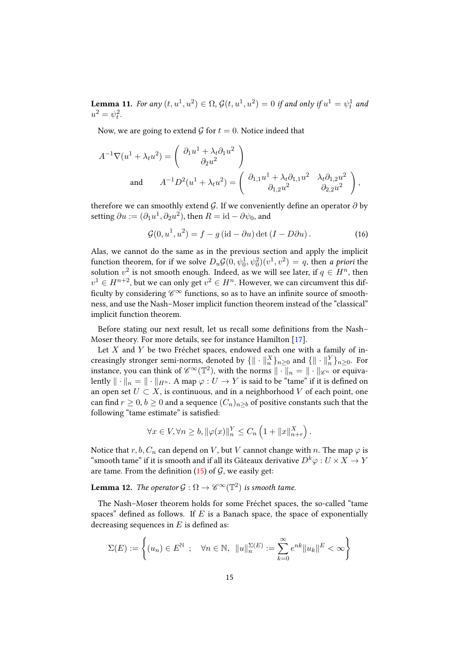Lemma 11. For any  $(t, u^1, u^2) \in \Omega$ ,  $\mathcal{G}(t, u^1, u^2) = 0$  if and only if  $u^1 = \psi_t^1$  and  $u^2 = \psi_t^2$ .

Now, we are going to extend  $\mathcal G$  for  $t = 0$ . Notice indeed that

$$
A^{-1}\nabla(u^1 + \lambda_t u^2) = \begin{pmatrix} \partial_1 u^1 + \lambda_t \partial_1 u^2 \\ \partial_2 u^2 \end{pmatrix}
$$
  
and 
$$
A^{-1}D^2(u^1 + \lambda_t u^2) = \begin{pmatrix} \partial_{1,1} u^1 + \lambda_t \partial_{1,1} u^2 & \lambda_t \partial_{1,2} u^2 \\ \partial_{1,2} u^2 & \partial_{2,2} u^2 \end{pmatrix},
$$

therefore we can smoothly extend  $\mathcal{G}$ . If we conveniently define an operator  $\partial$  by setting  $\partial u := (\partial_1 u^1, \partial_2 u^2)$ , then  $R = \text{id} - \partial \psi_0$ , and

<span id="page-14-0"></span>
$$
\mathcal{G}(0, u^1, u^2) = f - g(\text{id} - \partial u) \det (I - D\partial u).
$$
 (16)

Alas, we cannot do the same as in the previous section and apply the implicit function theorem, for if we solve  $D_u \mathcal{G}(0, \psi_0^1, \psi_0^2)(v^1, v^2) = q$ , then *a priori* the solution  $v^2$  is not smooth enough. Indeed, as we will see later, if  $q \in H^n$ , then  $v^1 \in H^{n+2}$ , but we can only get  $v^2 \in H^n$ . However, we can circumvent this difficulty by considering  $\mathscr{C}^{\infty}$  functions, so as to have an infinite source of smoothness, and use the Nash–Moser implicit function theorem instead of the "classical" implicit function theorem.

Before stating our next result, let us recall some definitions from the Nash-Moser theory. For more details, see for instance Hamilton [\[17\]](#page-28-13).

Let  $X$  and  $Y$  be two Fréchet spaces, endowed each one with a family of increasingly stronger semi-norms, denoted by  $\{ \| \cdot \|_n^X \}_{n \geq 0}$  and  $\{ \| \cdot \|_n^Y \}_{n \geq 0}$ . For instance, you can think of  $\mathscr{C}^{\infty}(\mathbb{T}^2)$ , with the norms  $\|\cdot\|_n = \|\cdot\|_{\mathscr{C}^n}$  or equivalently  $\|\cdot\|_n = \|\cdot\|_{H^n}$ . A map  $\varphi: U \to Y$  is said to be "tame" if it is defined on an open set  $U \subset X$ , is continuous, and in a neighborhood  $V$  of each point, one can find  $r \geq 0$ ,  $b \geq 0$  and a sequence  $(C_n)_{n \geq b}$  of positive constants such that the following "tame estimate" is satisfied:

$$
\forall x \in V, \forall n \ge b, \|\varphi(x)\|_n^Y \le C_n \left(1 + \|x\|_{n+r}^X\right).
$$

Notice that  $r, b, C_n$  can depend on  $V$ , but  $V$  cannot change with  $n$ . The map  $\varphi$  is "smooth tame" if it is smooth and if all its Gâteaux derivative  $D^k \varphi : U \times X \to Y$ are tame. From the definition [\(15\)](#page-13-0) of  $\mathcal{G}$ , we easily get:

**Lemma 12.** The operator  $\mathcal{G}: \Omega \to \mathscr{C}^{\infty}(\mathbb{T}^2)$  is smooth tame.

The Nash–Moser theorem holds for some Fréchet spaces, the so-called "tame spaces" defined as follows. If  $E$  is a Banach space, the space of exponentially decreasing sequences in  $E$  is defined as:

$$
\Sigma(E) := \left\{ (u_n) \in E^{\mathbb{N}} \; ; \quad \forall n \in \mathbb{N}, \; \|u\|_n^{\Sigma(E)} := \sum_{k=0}^{\infty} e^{nk} \|u_k\|^E < \infty \right\}
$$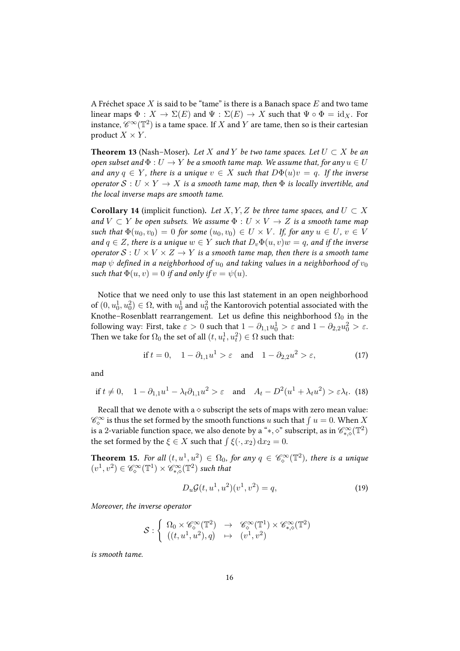A Fréchet space  $X$  is said to be "tame" is there is a Banach space  $E$  and two tame linear maps  $\Phi: X \to \Sigma(E)$  and  $\Psi: \Sigma(E) \to X$  such that  $\Psi \circ \Phi = id_X$ . For instance,  $\overline{\mathscr{C}}^{\infty}(\mathbb{T}^{2})$  is a tame space. If  $X$  and  $Y$  are tame, then so is their cartesian product  $X \times Y$ .

**Theorem 13** (Nash–Moser). Let X and Y be two tame spaces. Let  $U \subset X$  be an open subset and  $\Phi: U \to Y$  be a smooth tame map. We assume that, for any  $u \in U$ and any  $q \in Y$ , there is a unique  $v \in X$  such that  $D\Phi(u)v = q$ . If the inverse operator  $S: U \times Y \rightarrow X$  is a smooth tame map, then  $\Phi$  is locally invertible, and the local inverse maps are smooth tame.

<span id="page-15-1"></span>**Corollary 14** (implicit function). Let *X*, *Y*, *Z* be three tame spaces, and  $U \subset X$ and  $V \subset Y$  be open subsets. We assume  $\Phi : U \times V \to Z$  is a smooth tame map such that  $\Phi(u_0, v_0) = 0$  for some  $(u_0, v_0) \in U \times V$ . If, for any  $u \in U$ ,  $v \in V$ and  $q \in Z$ , there is a unique  $w \in Y$  such that  $D_v \Phi(u, v) w = q$ , and if the inverse operator  $S: U \times V \times Z \rightarrow Y$  is a smooth tame map, then there is a smooth tame map  $\psi$  defined in a neighborhood of  $u_0$  and taking values in a neighborhood of  $v_0$ such that  $\Phi(u, v) = 0$  if and only if  $v = \psi(u)$ .

Notice that we need only to use this last statement in an open neighborhood of  $(0, u_0^1, u_0^2) \in \Omega$ , with  $u_0^1$  and  $u_0^2$  the Kantorovich potential associated with the Knothe–Rosenblatt rearrangement. Let us define this neighborhood  $\Omega_0$  in the following way: First, take  $\varepsilon > 0$  such that  $1 - \partial_{1,1} u_0^1 > \varepsilon$  and  $1 - \partial_{2,2} u_0^2 > \varepsilon$ . Then we take for  $\Omega_0$  the set of all  $(t, u_t^1, u_t^2) \in \Omega$  such that:

$$
\text{if } t = 0, \quad 1 - \partial_{1,1} u^1 > \varepsilon \quad \text{and} \quad 1 - \partial_{2,2} u^2 > \varepsilon,\tag{17}
$$

<span id="page-15-3"></span>and

$$
\text{if } t \neq 0, \quad 1 - \partial_{1,1} u^1 - \lambda_t \partial_{1,1} u^2 > \varepsilon \quad \text{and} \quad A_t - D^2(u^1 + \lambda_t u^2) > \varepsilon \lambda_t. \tag{18}
$$

Recall that we denote with a  $\diamond$  subscript the sets of maps with zero mean value:  $\mathscr{C}_\diamond^\infty$  is thus the set formed by the smooth functions  $u$  such that  $\int u=0.$  When  $X$ is a 2-variable function space, we also denote by a " $*, \diamond$ " subscript, as in  $\mathscr{C}^\infty_{*, \diamond}(\mathbb{T}^2)$ the set formed by the  $\xi \in X$  such that  $\int \xi(\cdot, x_2) dx_2 = 0$ .

<span id="page-15-2"></span>**Theorem 15.** For all  $(t, u^1, u^2) \in \Omega_0$ , for any  $q \in \mathscr{C}_{\diamond}^{\infty}(\mathbb{T}^2)$ , there is a unique  $(v^1, v^2) \in \mathscr{C}_{\diamond}^{\infty}(\mathbb{T}^1) \times \mathscr{C}_{*,\diamond}^{\infty}(\mathbb{T}^2)$  such that

<span id="page-15-0"></span>
$$
D_u \mathcal{G}(t, u^1, u^2)(v^1, v^2) = q,
$$
\n(19)

Moreover, the inverse operator

$$
\mathcal{S}: \left\{ \begin{array}{ccc} \Omega_0 \times \mathscr{C}^\infty_\diamond(\mathbb{T}^2) & \to & \mathscr{C}^\infty_\diamond(\mathbb{T}^1) \times \mathscr{C}^\infty_{*,\diamond}(\mathbb{T}^2) \\ ((t,u^1,u^2),q) & \mapsto & (v^1,v^2) \end{array} \right.
$$

is smooth tame.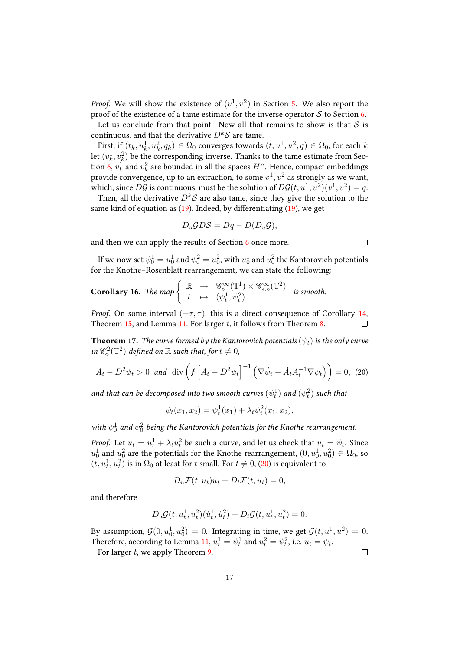*Proof.* We will show the existence of  $(v^1, v^2)$  in Section [5.](#page-17-0) We also report the proof of the existence of a tame estimate for the inverse operator  $S$  to Section [6.](#page-19-0)

Let us conclude from that point. Now all that remains to show is that  $S$  is continuous, and that the derivative  $D^k S$  are tame.

First, if  $(t_k, u_k^1, u_k^2, q_k) \in \Omega_0$  converges towards  $(t, u^1, u^2, q) \in \Omega_0$ , for each  $k$ let  $(v^1_k, v^2_k)$  be the corresponding inverse. Thanks to the tame estimate from Sec-tion [6,](#page-19-0)  $v_k^1$  and  $v_k^2$  are bounded in all the spaces  $H^n$ . Hence, compact embeddings provide convergence, up to an extraction, to some  $v^1,v^2$  as strongly as we want, which, since  $D\mathcal{G}$  is continuous, must be the solution of  $D\mathcal{G}(t, u^1, u^2)(v^1, v^2) = q$ .

Then, all the derivative  $D^k S$  are also tame, since they give the solution to the same kind of equation as  $(19)$ . Indeed, by differentiating  $(19)$ , we get

$$
D_u\mathcal{G}D\mathcal{S}=Dq-D(D_u\mathcal{G}),
$$

and then we can apply the results of Section [6](#page-19-0) once more.

If we now set  $\psi^1_0=u^1_0$  and  $\psi^2_0=u^2_0,$  with  $u^1_0$  and  $u^2_0$  the Kantorovich potentials for the Knothe–Rosenblatt rearrangement, we can state the following:

Corollary 16. The map 
$$
\begin{cases} \mathbb{R} & \to & \mathscr{C}_{\diamond}^{\infty}(\mathbb{T}^1) \times \mathscr{C}_{*,\diamond}^{\infty}(\mathbb{T}^2) \\ t & \mapsto & (\psi_t^1, \psi_t^2) \end{cases}
$$
 is smooth.

*Proof.* On some interval  $(-\tau, \tau)$ , this is a direct consequence of Corollary [14,](#page-15-1) Theorem [15,](#page-15-2) and Lemma [11.](#page-13-1) For larger  $t$ , it follows from Theorem [8.](#page-11-1)  $\Box$ 

**Theorem 17.** The curve formed by the Kantorovich potentials  $(\psi_t)$  is the only curve in  $\mathscr{C}^2_\diamond(\mathbb{T}^2)$  defined on  $\mathbb R$  such that, for  $t\neq 0$ ,

$$
A_t - D^2 \psi_t > 0 \quad \text{and} \quad \text{div}\left(f\left[A_t - D^2 \psi_t\right]^{-1} \left(\nabla \dot{\psi}_t - \dot{A}_t A_t^{-1} \nabla \psi_t\right)\right) = 0, \tag{20}
$$

and that can be decomposed into two smooth curves  $(\psi_t^1)$  and  $(\psi_t^2)$  such that

<span id="page-16-0"></span>
$$
\psi_t(x_1, x_2) = \psi_t^1(x_1) + \lambda_t \psi_t^2(x_1, x_2),
$$

with  $\psi_0^1$  and  $\psi_0^2$  being the Kantorovich potentials for the Knothe rearrangement.

*Proof.* Let  $u_t = u_t^1 + \lambda_t u_t^2$  be such a curve, and let us check that  $u_t = \psi_t$ . Since  $u_0^1$  and  $u_0^2$  are the potentials for the Knothe rearrangement,  $(0,u_0^1,u_0^2)\in\Omega_0$ , so  $(t,u^1_t,u^2_t)$  is in  $\Omega_0$  at least for  $t$  small. For  $t\neq 0,$   $(20)$  is equivalent to

$$
D_u \mathcal{F}(t, u_t) \dot{u}_t + D_t \mathcal{F}(t, u_t) = 0,
$$

and therefore

$$
D_u \mathcal{G}(t, u_t^1, u_t^2)(\dot{u}_t^1, \dot{u}_t^2) + D_t \mathcal{G}(t, u_t^1, u_t^2) = 0.
$$

By assumption,  $\mathcal{G}(0, u_0^1, u_0^2) = 0$ . Integrating in time, we get  $\mathcal{G}(t, u^1, u^2) = 0$ . Therefore, according to Lemma [11,](#page-13-1)  $u_t^1 = \psi_t^1$  and  $u_t^2 = \psi_t^2$ , i.e.  $u_t = \psi_t$ .

For larger  $t$ , we apply Theorem [9.](#page-12-2)

 $\Box$ 

 $\Box$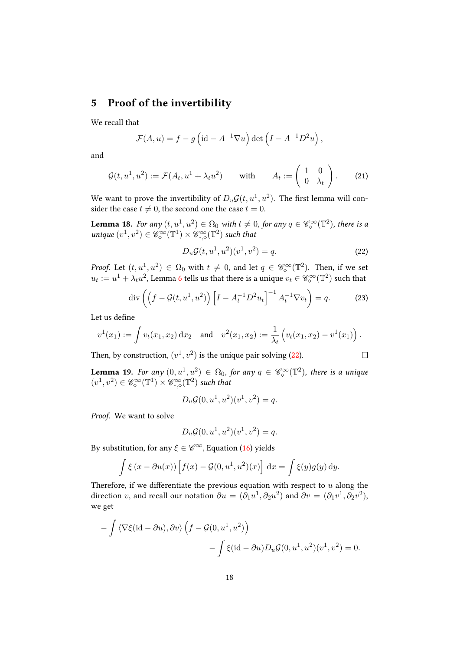# <span id="page-17-0"></span>5 Proof of the invertibility

We recall that

$$
\mathcal{F}(A, u) = f - g \left( id - A^{-1} \nabla u \right) \det \left( I - A^{-1} D^2 u \right),
$$

<span id="page-17-2"></span>and

$$
\mathcal{G}(t, u^1, u^2) := \mathcal{F}(A_t, u^1 + \lambda_t u^2) \quad \text{with} \quad A_t := \begin{pmatrix} 1 & 0 \\ 0 & \lambda_t \end{pmatrix}.
$$
 (21)

We want to prove the invertibility of  $D_u \mathcal{G}(t, u^1, u^2).$  The first lemma will consider the case  $t \neq 0$ , the second one the case  $t = 0$ .

**Lemma 18.** For any  $(t, u^1, u^2) \in \Omega_0$  with  $t \neq 0$ , for any  $q \in \mathscr{C}_{\infty}^{\infty}(\mathbb{T}^2)$ , there is a unique  $(v^1, v^2) \in \mathscr{C}_{\diamond}^{\infty}(\mathbb{T}^1) \times \mathscr{C}_{*,\diamond}^{\infty}(\mathbb{T}^2)$  such that

<span id="page-17-1"></span>
$$
D_u \mathcal{G}(t, u^1, u^2)(v^1, v^2) = q.
$$
 (22)

 $\Box$ 

*Proof.* Let  $(t, u^1, u^2) \in \Omega_0$  with  $t \neq 0$ , and let  $q \in \mathscr{C}_{\diamond}^{\infty}(\mathbb{T}^2)$ . Then, if we set  $u_t:=u^1+\lambda_t u^2$ , Lemma [6](#page-9-3) tells us that there is a unique  $v_t\in \mathscr C^{\infty}_\diamond({\mathbb T}^2)$  such that

$$
\operatorname{div}\left(\left(f - \mathcal{G}(t, u^1, u^2)\right) \left[I - A_t^{-1} D^2 u_t\right]^{-1} A_t^{-1} \nabla v_t\right) = q. \tag{23}
$$

Let us define

$$
v^1(x_1) := \int v_t(x_1, x_2) dx_2
$$
 and  $v^2(x_1, x_2) := \frac{1}{\lambda_t} (v_t(x_1, x_2) - v^1(x_1)).$ 

Then, by construction,  $(v^1, v^2)$  is the unique pair solving [\(22\)](#page-17-1).

**Lemma 19.** For any  $(0, u^1, u^2) \in \Omega_0$ , for any  $q \in \mathscr{C}_{\diamond}^{\infty}(\mathbb{T}^2)$ , there is a unique  $(v^1, v^2) \in \mathscr{C}_{\diamond}^{\infty}(\mathbb{T}^1) \times \mathscr{C}_{*,\diamond}^{\infty}(\mathbb{T}^2)$  such that

$$
D_u\mathcal{G}(0, u^1, u^2)(v^1, v^2) = q.
$$

Proof. We want to solve

$$
D_u\mathcal{G}(0, u^1, u^2)(v^1, v^2) = q.
$$

By substitution, for any  $\xi \in \mathscr{C}^{\infty}$ , Equation [\(16\)](#page-14-0) yields

$$
\int \xi (x - \partial u(x)) \left[ f(x) - \mathcal{G}(0, u^1, u^2)(x) \right] dx = \int \xi(y) g(y) dy.
$$

Therefore, if we differentiate the previous equation with respect to  $u$  along the direction v, and recall our notation  $\partial u = (\partial_1 u^1, \partial_2 u^2)$  and  $\partial v = (\partial_1 v^1, \partial_2 v^2)$ , we get

$$
- \int \langle \nabla \xi (\mathrm{id} - \partial u), \partial v \rangle \left( f - \mathcal{G}(0, u^1, u^2) \right) - \int \xi (\mathrm{id} - \partial u) D_u \mathcal{G}(0, u^1, u^2) (v^1, v^2) = 0.
$$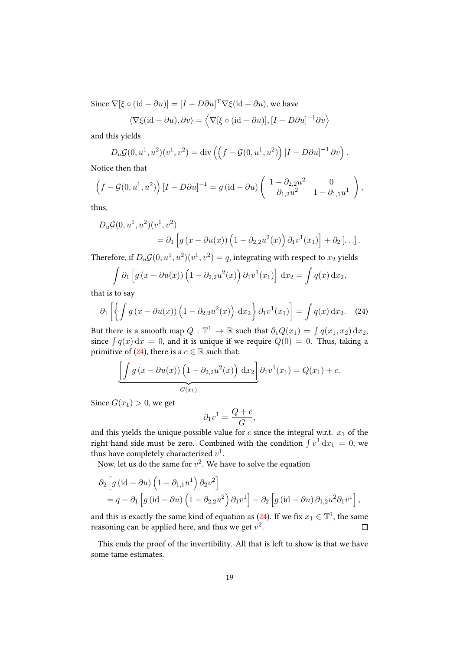Since  $\nabla[\xi \circ (\text{id} - \partial u)] = [I - D\partial u]^{\text{T}} \nabla \xi (\text{id} - \partial u)$ , we have

$$
\langle \nabla \xi(\mathrm{id} - \partial u), \partial v \rangle = \langle \nabla[\xi \circ (\mathrm{id} - \partial u)], [I - D\partial u]^{-1} \partial v \rangle
$$

and this yields

$$
D_u \mathcal{G}(0, u^1, u^2)(v^1, v^2) = \text{div}\left(\left(f - \mathcal{G}(0, u^1, u^2)\right)[I - D\partial u]^{-1} \partial v\right).
$$

Notice then that

$$
\left(f - \mathcal{G}(0, u^1, u^2)\right) \left[I - D\partial u\right]^{-1} = g\left(\mathrm{id} - \partial u\right) \left(\begin{array}{cc} 1 - \partial_{2,2}u^2 & 0\\ \partial_{1,2}u^2 & 1 - \partial_{1,1}u^1 \end{array}\right),
$$

thus,

$$
D_u \mathcal{G}(0, u^1, u^2)(v^1, v^2)
$$
  
=  $\partial_1 \left[ g(x - \partial u(x)) \left( 1 - \partial_{2,2} u^2(x) \right) \partial_1 v^1(x_1) \right] + \partial_2 \left[ \dots \right].$ 

Therefore, if  $D_u {\cal G}(0, u^1, u^2)(v^1, v^2) = q,$  integrating with respect to  $x_2$  yields

<span id="page-18-0"></span>
$$
\int \partial_1 \left[ g\left(x - \partial u(x)\right) \left(1 - \partial_{2,2} u^2(x)\right) \partial_1 v^1(x_1) \right] dx_2 = \int q(x) dx_2,
$$

that is to say

$$
\partial_1 \left[ \left\{ \int g \left( x - \partial u(x) \right) \left( 1 - \partial_{2,2} u^2(x) \right) \, \mathrm{d}x_2 \right\} \partial_1 v^1(x_1) \right] = \int q(x) \, \mathrm{d}x_2. \tag{24}
$$

But there is a smooth map  $Q: \mathbb{T}^1 \to \mathbb{R}$  such that  $\partial_1 Q(x_1) = \int q(x_1,x_2) \,\mathrm{d}x_2,$ since  $\int q(x) dx = 0$ , and it is unique if we require  $Q(0) = 0$ . Thus, taking a primitive of [\(24\)](#page-18-0), there is a  $c \in \mathbb{R}$  such that:

$$
\underbrace{\left[\int g\left(x-\partial u(x)\right)\left(1-\partial_{2,2}u^2(x)\right)dx_2\right]}_{G(x_1)}\partial_1v^1(x_1)=Q(x_1)+c.
$$

Since  $G(x_1) > 0$ , we get

$$
\partial_1 v^1 = \frac{Q+c}{G},
$$

and this yields the unique possible value for  $c$  since the integral w.r.t.  $x_1$  of the right hand side must be zero. Combined with the condition  $\int v^1 dx_1 = 0$ , we thus have completely characterized  $v^1$ .

Now, let us do the same for  $v^2$ . We have to solve the equation

$$
\partial_2 \left[ g\left(\mathrm{id} - \partial u\right) \left(1 - \partial_{1,1} u^1\right) \partial_2 v^2 \right] \n= q - \partial_1 \left[ g\left(\mathrm{id} - \partial u\right) \left(1 - \partial_{2,2} u^2\right) \partial_1 v^1 \right] - \partial_2 \left[ g\left(\mathrm{id} - \partial u\right) \partial_{1,2} u^2 \partial_1 v^1 \right],
$$

and this is exactly the same kind of equation as [\(24\)](#page-18-0). If we fix  $x_1 \in \mathbb{T}^1$ , the same reasoning can be applied here, and thus we get  $v^2$ .  $\Box$ 

This ends the proof of the invertibility. All that is left to show is that we have some tame estimates.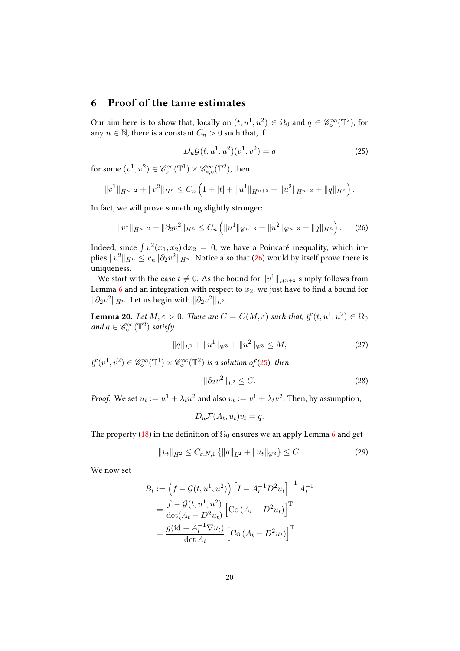# <span id="page-19-0"></span>6 Proof of the tame estimates

Our aim here is to show that, locally on  $(t, u^1, u^2) \in \Omega_0$  and  $q \in \mathscr{C}_{\diamond}^{\infty}(\mathbb{T}^2)$ , for any  $n \in \mathbb{N}$ , there is a constant  $C_n > 0$  such that, if

<span id="page-19-2"></span><span id="page-19-1"></span>
$$
D_u \mathcal{G}(t, u^1, u^2)(v^1, v^2) = q \tag{25}
$$

for some  $(v^1, v^2) \in \mathscr{C}_{\diamond}^{\infty}(\mathbb{T}^1) \times \mathscr{C}_{*,\diamond}^{\infty}(\mathbb{T}^2)$ , then

$$
||v^1||_{H^{n+2}} + ||v^2||_{H^n} \leq C_n \left(1 + |t| + ||u^1||_{H^{n+3}} + ||u^2||_{H^{n+3}} + ||q||_{H^n}\right).
$$

In fact, we will prove something slightly stronger:

$$
||v^1||_{H^{n+2}} + ||\partial_2 v^2||_{H^n} \le C_n \left( ||u^1||_{\mathscr{C}^{n+3}} + ||u^2||_{\mathscr{C}^{n+3}} + ||q||_{H^n} \right).
$$
 (26)

Indeed, since  $\int v^2(x_1, x_2) dx_2 = 0$ , we have a Poincaré inequality, which implies  $\|v^2\|_{H^n}\leq c_n\|\partial_2v^2\|_{H^n}.$  Notice also that [\(26\)](#page-19-1) would by itself prove there is uniqueness.

We start with the case  $t\neq 0.$  As the bound for  $\|v^1\|_{H^{n+2}}$  simply follows from Lemma [6](#page-9-3) and an integration with respect to  $x_2$ , we just have to find a bound for  $\|\partial_2 v^2\|_{H^n}$ . Let us begin with  $\|\partial_2 v^2\|_{L^2}$ .

Lemma 20. Let  $M, \varepsilon > 0$ . There are  $C = C(M, \varepsilon)$  such that, if  $(t, u^1, u^2) \in \Omega_0$ and  $q \in \mathscr{C}_{\diamond}^{\infty}(\mathbb{T}^2)$  satisfy

<span id="page-19-4"></span>
$$
||q||_{L^{2}} + ||u^{1}||_{\mathscr{C}^{3}} + ||u^{2}||_{\mathscr{C}^{3}} \leq M,
$$
\n(27)

if  $(v^1, v^2) \in \mathscr{C}_{\diamond}^{\infty}(\mathbb{T}^1) \times \mathscr{C}_{\diamond}^{\infty}(\mathbb{T}^2)$  is a solution of [\(25\)](#page-19-2), then

<span id="page-19-3"></span>
$$
\|\partial_2 v^2\|_{L^2} \le C. \tag{28}
$$

*Proof.* We set  $u_t := u^1 + \lambda_t u^2$  and also  $v_t := v^1 + \lambda_t v^2$ . Then, by assumption,

$$
D_u \mathcal{F}(A_t, u_t) v_t = q.
$$

The property [\(18\)](#page-15-3) in the definition of  $\Omega_0$  ensures we an apply Lemma [6](#page-9-3) and get

$$
||v_t||_{H^2} \le C_{\varepsilon, N, 1} \{ ||q||_{L^2} + ||u_t||_{\mathscr{C}^3} \} \le C. \tag{29}
$$

We now set

$$
B_t := \left(f - \mathcal{G}(t, u^1, u^2)\right) \left[I - A_t^{-1}D^2u_t\right]^{-1} A_t^{-1}
$$

$$
= \frac{f - \mathcal{G}(t, u^1, u^2)}{\det(A_t - D^2u_t)} \left[\text{Co}\left(A_t - D^2u_t\right)\right]^\text{T}
$$

$$
= \frac{g(\text{id} - A_t^{-1}\nabla u_t)}{\det A_t} \left[\text{Co}\left(A_t - D^2u_t\right)\right]^\text{T}
$$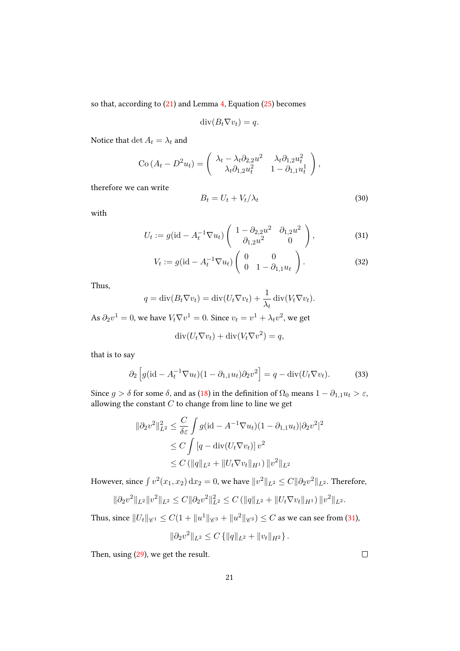so that, according to [\(21\)](#page-17-2) and Lemma [4,](#page-8-2) Equation [\(25\)](#page-19-2) becomes

$$
\operatorname{div}(B_t \nabla v_t) = q.
$$

Notice that  $\det A_t = \lambda_t$  and

$$
\text{Co}\left(A_t - D^2 u_t\right) = \begin{pmatrix} \lambda_t - \lambda_t \partial_{2,2} u^2 & \lambda_t \partial_{1,2} u_t^2 \\ \lambda_t \partial_{1,2} u_t^2 & 1 - \partial_{1,1} u_t^1 \end{pmatrix},
$$

therefore we can write

<span id="page-20-2"></span><span id="page-20-0"></span>
$$
B_t = U_t + V_t / \lambda_t \tag{30}
$$

with

$$
U_t := g(\text{id} - A_t^{-1} \nabla u_t) \begin{pmatrix} 1 - \partial_{2,2} u^2 & \partial_{1,2} u^2 \\ \partial_{1,2} u^2 & 0 \end{pmatrix}, \tag{31}
$$

$$
V_t := g(\text{id} - A_t^{-1} \nabla u_t) \begin{pmatrix} 0 & 0 \\ 0 & 1 - \partial_{1,1} u_t \end{pmatrix}.
$$
 (32)

Thus,

$$
q = \operatorname{div}(B_t \nabla v_t) = \operatorname{div}(U_t \nabla v_t) + \frac{1}{\lambda_t} \operatorname{div}(V_t \nabla v_t).
$$

As  $\partial_2 v^1 = 0$ , we have  $V_t \nabla v^1 = 0$ . Since  $v_t = v^1 + \lambda_t v^2$ , we get

$$
\operatorname{div}(U_t \nabla v_t) + \operatorname{div}(V_t \nabla v^2) = q,
$$

that is to say

<span id="page-20-1"></span>
$$
\partial_2 \left[ g(\mathrm{id} - A_t^{-1} \nabla u_t)(1 - \partial_{1,1} u_t) \partial_2 v^2 \right] = q - \mathrm{div}(U_t \nabla v_t). \tag{33}
$$

Since *g* >  $\delta$  for some  $\delta$ , and as [\(18\)](#page-15-3) in the definition of  $\Omega_0$  means  $1 - \partial_{1,1} u_t > \varepsilon$ , allowing the constant  $\mathcal C$  to change from line to line we get

$$
\|\partial_2 v^2\|_{L^2}^2 \le \frac{C}{\delta \varepsilon} \int g(\mathrm{id} - A^{-1} \nabla u_t)(1 - \partial_{1,1} u_t) |\partial_2 v^2|^2
$$
  
\n
$$
\le C \int [q - \mathrm{div}(U_t \nabla v_t)] v^2
$$
  
\n
$$
\le C (\|q\|_{L^2} + \|U_t \nabla v_t\|_{H^1}) \|v^2\|_{L^2}
$$

However, since  $\int v^2(x_1,x_2)\,\mathrm{d}x_2=0,$  we have  $\|v^2\|_{L^2}\leq C\|\partial_2v^2\|_{L^2}.$  Therefore,

$$
\|\partial_2 v^2\|_{L^2} \|v^2\|_{L^2} \leq C \|\partial_2 v^2\|_{L^2}^2 \leq C \left( \|q\|_{L^2} + \|U_t \nabla v_t\|_{H^1} \right) \|v^2\|_{L^2}.
$$

Thus, since  $\|U_t\|_{\mathscr{C}^1}\leq C(1+\|u^1\|_{\mathscr{C}^3}+\|u^2\|_{\mathscr{C}^3})\leq C$  as we can see from [\(31\)](#page-20-0),

$$
\|\partial_2 v^2\|_{L^2} \leq C \left\{ \|q\|_{L^2} + \|v_t\|_{H^2} \right\}.
$$

Then, using [\(29\)](#page-19-3), we get the result.

 $\Box$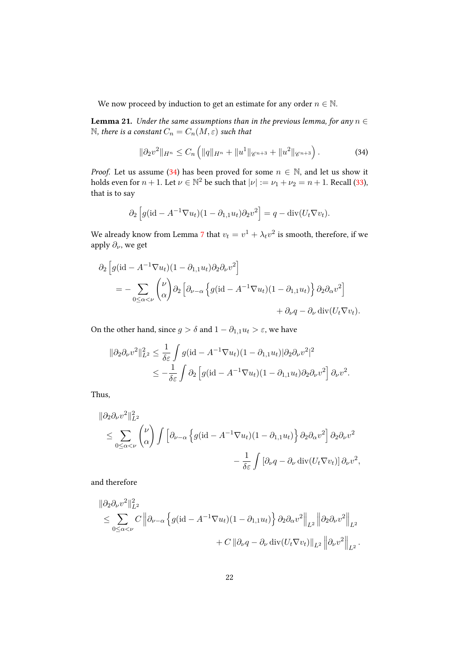We now proceed by induction to get an estimate for any order  $n \in \mathbb{N}$ .

<span id="page-21-1"></span>**Lemma 21.** Under the same assumptions than in the previous lemma, for any  $n \in$ N, there is a constant  $C_n = C_n(M, \varepsilon)$  such that

<span id="page-21-0"></span>
$$
\|\partial_2 v^2\|_{H^n} \le C_n \left( \|q\|_{H^n} + \|u^1\|_{\mathscr{C}^{n+3}} + \|u^2\|_{\mathscr{C}^{n+3}} \right). \tag{34}
$$

*Proof.* Let us assume [\(34\)](#page-21-0) has been proved for some  $n \in \mathbb{N}$ , and let us show it holds even for  $n + 1$ . Let  $\nu \in \mathbb{N}^2$  be such that  $|\nu| := \nu_1 + \nu_2 = n + 1$ . Recall [\(33\)](#page-20-1), that is to say

$$
\partial_2 \left[ g(\mathrm{id} - A^{-1} \nabla u_t)(1 - \partial_{1,1} u_t) \partial_2 v^2 \right] = q - \mathrm{div}(U_t \nabla v_t).
$$

We already know from Lemma [7](#page-11-0) that  $v_t = v^1 + \lambda_t v^2$  is smooth, therefore, if we apply *∂*, we get

$$
\partial_2 \left[ g(\mathrm{id} - A^{-1} \nabla u_t)(1 - \partial_{1,1} u_t) \partial_2 \partial_\nu v^2 \right]
$$
  
= 
$$
- \sum_{0 \le \alpha < \nu} {\nu \choose \alpha} \partial_2 \left[ \partial_{\nu - \alpha} \left\{ g(\mathrm{id} - A^{-1} \nabla u_t)(1 - \partial_{1,1} u_t) \right\} \partial_2 \partial_\alpha v^2 \right]
$$

$$
+ \partial_\nu q - \partial_\nu \mathrm{div}(U_t \nabla v_t).
$$

On the other hand, since *g* >  $\delta$  and  $1 - \partial_{1,1} u_t$  >  $\varepsilon$ , we have

$$
\|\partial_2 \partial_\nu v^2\|_{L^2}^2 \le \frac{1}{\delta \varepsilon} \int g(\mathrm{id} - A^{-1} \nabla u_t)(1 - \partial_{1,1} u_t) |\partial_2 \partial_\nu v^2|^2
$$
  
 
$$
\le -\frac{1}{\delta \varepsilon} \int \partial_2 \left[ g(\mathrm{id} - A^{-1} \nabla u_t)(1 - \partial_{1,1} u_t) \partial_2 \partial_\nu v^2 \right] \partial_\nu v^2.
$$

Thus,

$$
\|\partial_2 \partial_\nu v^2\|_{L^2}^2
$$
  
\n
$$
\leq \sum_{0 \leq \alpha < \nu} \binom{\nu}{\alpha} \int \left[ \partial_{\nu-\alpha} \left\{ g(\mathrm{id} - A^{-1} \nabla u_t)(1 - \partial_{1,1} u_t) \right\} \partial_2 \partial_\alpha v^2 \right] \partial_2 \partial_\nu v^2
$$
  
\n
$$
- \frac{1}{\delta \varepsilon} \int \left[ \partial_\nu q - \partial_\nu \mathrm{div}(U_t \nabla v_t) \right] \partial_\nu v^2,
$$

and therefore

$$
\|\partial_2 \partial_\nu v^2\|_{L^2}^2
$$
  
\n
$$
\leq \sum_{0 \leq \alpha < \nu} C \left\|\partial_{\nu-\alpha} \left\{ g(\mathrm{id} - A^{-1} \nabla u_t)(1 - \partial_{1,1} u_t) \right\} \partial_2 \partial_\alpha v^2 \right\|_{L^2} \left\|\partial_2 \partial_\nu v^2 \right\|_{L^2} + C \left\|\partial_\nu q - \partial_\nu \mathrm{div}(U_t \nabla v_t) \right\|_{L^2} \left\|\partial_\nu v^2 \right\|_{L^2} .
$$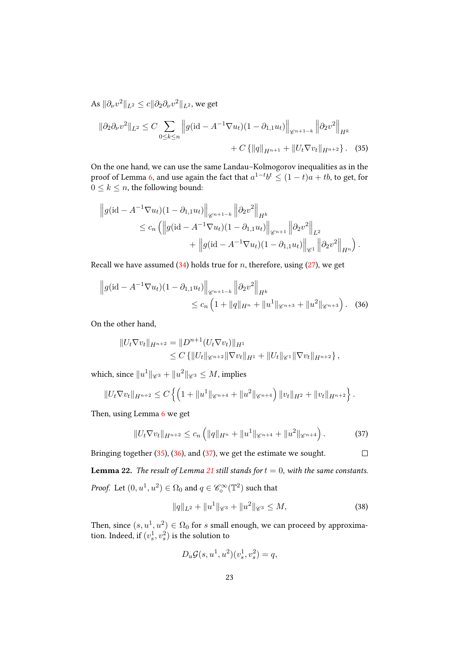As  $\|\partial_\nu v^2\|_{L^2}\leq c\|\partial_2\partial_\nu v^2\|_{L^2}$ , we get

<span id="page-22-0"></span>
$$
\|\partial_2 \partial_\nu v^2\|_{L^2} \le C \sum_{0 \le k \le n} \left\| g(\mathrm{id} - A^{-1} \nabla u_t)(1 - \partial_{1,1} u_t) \right\|_{\mathscr{C}^{n+1-k}} \left\| \partial_2 v^2 \right\|_{H^k} + C \left\{ \|q\|_{H^{n+1}} + \|U_t \nabla v_t\|_{H^{n+2}} \right\}.
$$
 (35)

On the one hand, we can use the same Landau–Kolmogorov inequalities as in the proof of Lemma [6,](#page-9-3) and use again the fact that  $a^{1-t}b^t \le (1-t)a + tb$ , to get, for  $0 \leq k \leq n$ , the following bound:

$$
\|g(\mathrm{id} - A^{-1} \nabla u_t)(1 - \partial_{1,1} u_t)\|_{\mathscr{C}^{n+1-k}} \|\partial_2 v^2\|_{H^k} \leq c_n \left( \left\| g(\mathrm{id} - A^{-1} \nabla u_t)(1 - \partial_{1,1} u_t) \right\|_{\mathscr{C}^{n+1}} \left\| \partial_2 v^2 \right\|_{L^2} + \left\| g(\mathrm{id} - A^{-1} \nabla u_t)(1 - \partial_{1,1} u_t) \right\|_{\mathscr{C}^1} \left\| \partial_2 v^2 \right\|_{H^n} \right).
$$

Recall we have assumed  $(34)$  holds true for n, therefore, using  $(27)$ , we get

$$
\|g(\mathrm{id} - A^{-1} \nabla u_t)(1 - \partial_{1,1} u_t)\|_{\mathscr{C}^{n+1-k}} \|\partial_2 v^2\|_{H^k}
$$
  
 
$$
\leq c_n \left(1 + \|q\|_{H^n} + \|u^1\|_{\mathscr{C}^{n+3}} + \|u^2\|_{\mathscr{C}^{n+3}}\right). \quad (36)
$$

On the other hand,

<span id="page-22-1"></span>
$$
||U_t \nabla v_t||_{H^{n+2}} = ||D^{n+1}(U_t \nabla v_t)||_{H^1}
$$
  
\n
$$
\leq C \{ ||U_t||_{\mathscr{C}^{n+2}} ||\nabla v_t||_{H^1} + ||U_t||_{\mathscr{C}^1} ||\nabla v_t||_{H^{n+2}} \},
$$

which, since  $\|u^1\|_{\mathscr{C}^3}+\|u^2\|_{\mathscr{C}^3}\leq M$ , implies

$$
||U_t \nabla v_t||_{H^{n+2}} \leq C \left\{ \left( 1 + ||u^1||_{\mathscr{C}^{n+4}} + ||u^2||_{\mathscr{C}^{n+4}} \right) ||v_t||_{H^2} + ||v_t||_{H^{n+2}} \right\}.
$$

Then, using Lemma [6](#page-9-3) we get

<span id="page-22-2"></span>
$$
||U_t \nabla v_t||_{H^{n+2}} \le c_n \left( ||q||_{H^n} + ||u^1||_{\mathscr{C}^{n+4}} + ||u^2||_{\mathscr{C}^{n+4}} \right).
$$
 (37)

Bringing together [\(35\)](#page-22-0), [\(36\)](#page-22-1), and [\(37\)](#page-22-2), we get the estimate we sought.  $\Box$ **Lemma 22.** The result of Lemma [21](#page-21-1) still stands for  $t = 0$ , with the same constants. *Proof.* Let  $(0, u^1, u^2) \in \Omega_0$  and  $q \in \mathscr{C}_{\diamond}^{\infty}(\mathbb{T}^2)$  such that

$$
||q||_{L^{2}} + ||u^{1}||_{\mathscr{C}^{3}} + ||u^{2}||_{\mathscr{C}^{3}} \leq M,
$$
\n(38)

Then, since  $(s, u^1, u^2) \in \Omega_0$  for  $s$  small enough, we can proceed by approximation. Indeed, if  $(v_s^1, v_s^2)$  is the solution to

$$
D_u \mathcal{G}(s, u^1, u^2)(v_s^1, v_s^2) = q,
$$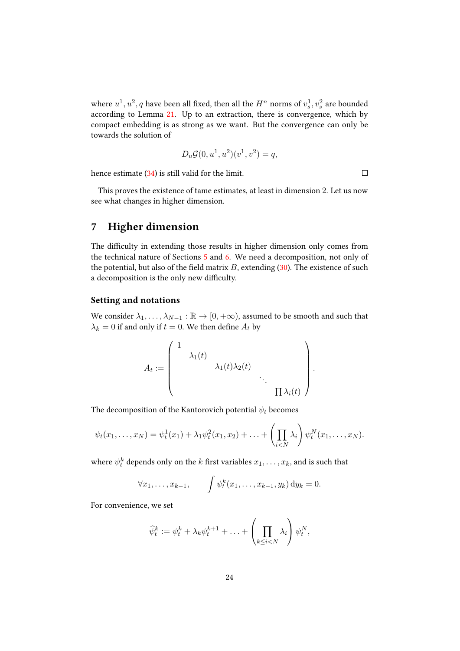where  $u^1, u^2, q$  have been all fixed, then all the  $H^n$  norms of  $v^1_s, v^2_s$  are bounded according to Lemma [21.](#page-21-1) Up to an extraction, there is convergence, which by compact embedding is as strong as we want. But the convergence can only be towards the solution of

$$
D_u\mathcal{G}(0, u^1, u^2)(v^1, v^2) = q,
$$

hence estimate [\(34\)](#page-21-0) is still valid for the limit.

 $\Box$ 

This proves the existence of tame estimates, at least in dimension 2. Let us now see what changes in higher dimension.

# 7 Higher dimension

The difficulty in extending those results in higher dimension only comes from the technical nature of Sections [5](#page-17-0) and [6.](#page-19-0) We need a decomposition, not only of the potential, but also of the field matrix  $B$ , extending [\(30\)](#page-20-2). The existence of such a decomposition is the only new difficulty.

#### Setting and notations

We consider  $\lambda_1, \ldots, \lambda_{N-1} : \mathbb{R} \to [0, +\infty)$ , assumed to be smooth and such that  $\lambda_k = 0$  if and only if  $t = 0$ . We then define  $A_t$  by

$$
A_t := \begin{pmatrix} 1 & & & \\ & \lambda_1(t) & & \\ & & \lambda_1(t)\lambda_2(t) & \\ & & & \ddots \\ & & & & \Pi \lambda_i(t) \end{pmatrix}.
$$

The decomposition of the Kantorovich potential  $\psi_t$  becomes

$$
\psi_t(x_1,...,x_N) = \psi_t^1(x_1) + \lambda_1 \psi_t^2(x_1,x_2) + ... + \left(\prod_{i < N} \lambda_i\right) \psi_t^N(x_1,...,x_N).
$$

where  $\psi_t^k$  depends only on the  $k$  first variables  $x_1,\ldots,x_k$ , and is such that

$$
\forall x_1, \ldots, x_{k-1}, \qquad \int \psi_t^k(x_1, \ldots, x_{k-1}, y_k) \, \mathrm{d}y_k = 0.
$$

For convenience, we set

$$
\widehat{\psi}_t^k := \psi_t^k + \lambda_k \psi_t^{k+1} + \ldots + \left(\prod_{k \leq i < N} \lambda_i\right) \psi_t^N,
$$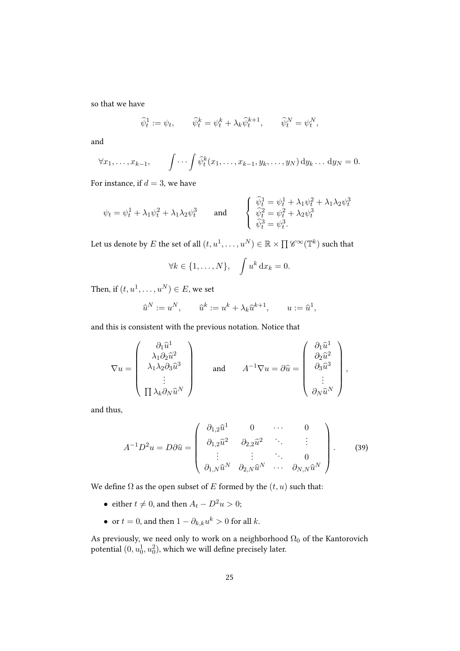so that we have

$$
\widehat{\psi}_t^1 := \psi_t, \qquad \widehat{\psi}_t^k = \psi_t^k + \lambda_k \widehat{\psi}_t^{k+1}, \qquad \widehat{\psi}_t^N = \psi_t^N,
$$

and

$$
\forall x_1, \ldots, x_{k-1}, \qquad \int \cdots \int \widehat{\psi}_t^k(x_1, \ldots, x_{k-1}, y_k, \ldots, y_N) \, \mathrm{d}y_k \ldots \, \mathrm{d}y_N = 0.
$$

For instance, if  $d = 3$ , we have

$$
\psi_t = \psi_t^1 + \lambda_1 \psi_t^2 + \lambda_1 \lambda_2 \psi_t^3 \quad \text{and} \quad \begin{cases} \widehat{\psi}_t^1 = \psi_t^1 + \lambda_1 \psi_t^2 + \lambda_1 \lambda_2 \psi_t^3 \\ \widehat{\psi}_t^2 = \psi_t^2 + \lambda_2 \psi_t^3 \\ \widehat{\psi}_t^3 = \psi_t^3. \end{cases}
$$

Let us denote by  $E$  the set of all  $(t,u^1,\ldots,u^N)\in \mathbb{R}\times\prod \mathscr{C}^\infty(\mathbb{T}^k)$  such that

$$
\forall k \in \{1, \ldots, N\}, \quad \int u^k \, \mathrm{d}x_k = 0.
$$

Then, if  $(t, u^1, \dots, u^N) \in E$ , we set

$$
\widehat{u}^N := u^N, \qquad \widehat{u}^k := u^k + \lambda_k \widehat{u}^{k+1}, \qquad u := \widehat{u}^1,
$$

and this is consistent with the previous notation. Notice that

$$
\nabla u = \begin{pmatrix} \partial_1 \hat{u}^1 \\ \lambda_1 \partial_2 \hat{u}^2 \\ \lambda_1 \lambda_2 \partial_3 \hat{u}^3 \\ \vdots \\ \Pi \lambda_k \partial_N \hat{u}^N \end{pmatrix} \quad \text{and} \quad A^{-1} \nabla u = \partial \hat{u} = \begin{pmatrix} \partial_1 \hat{u}^1 \\ \partial_2 \hat{u}^2 \\ \partial_3 \hat{u}^3 \\ \vdots \\ \partial_N \hat{u}^N \end{pmatrix},
$$

and thus,

<span id="page-24-0"></span>
$$
A^{-1}D^2u = D\partial\widehat{u} = \begin{pmatrix} \partial_{1,2}\widehat{u}^1 & 0 & \cdots & 0 \\ \partial_{1,2}\widehat{u}^2 & \partial_{2,2}\widehat{u}^2 & \ddots & \vdots \\ \vdots & \vdots & \ddots & 0 \\ \partial_{1,N}\widehat{u}^N & \partial_{2,N}\widehat{u}^N & \cdots & \partial_{N,N}\widehat{u}^N \end{pmatrix}.
$$
 (39)

We define  $\Omega$  as the open subset of  $E$  formed by the  $(t, u)$  such that:

- either  $t \neq 0$ , and then  $A_t D^2 u > 0$ ;
- or  $t = 0$ , and then  $1 \partial_{k,k} u^k > 0$  for all  $k$ .

As previously, we need only to work on a neighborhood  $\Omega_0$  of the Kantorovich potential  $(0,u_0^1,u_0^2),$  which we will define precisely later.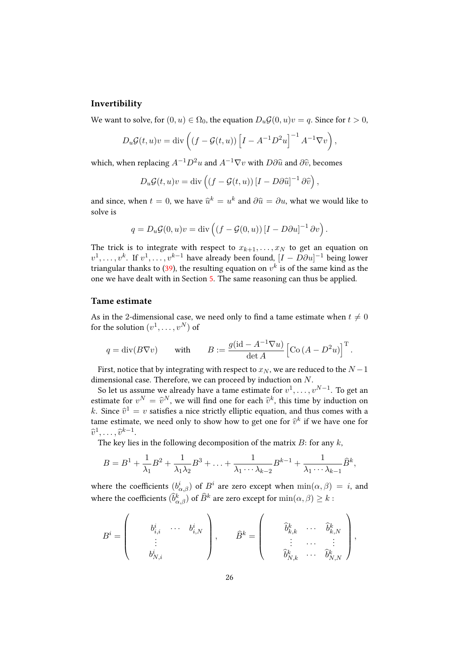#### Invertibility

We want to solve, for  $(0, u) \in \Omega_0$ , the equation  $D_u \mathcal{G}(0, u)v = q$ . Since for  $t > 0$ ,

$$
D_u \mathcal{G}(t, u)v = \text{div}\left( (f - \mathcal{G}(t, u)) \left[ I - A^{-1} D^2 u \right]^{-1} A^{-1} \nabla v \right),
$$

which, when replacing  $A^{-1}D^2u$  and  $A^{-1}\nabla v$  with  $D\partial \hat{u}$  and  $\partial \hat{v}$ , becomes

$$
D_u \mathcal{G}(t, u)v = \text{div}\left( (f - \mathcal{G}(t, u)) [I - D\partial \hat{u}]^{-1} \partial \hat{v} \right),
$$

and since, when  $t = 0$ , we have  $\hat{u}^k = u^k$  and  $\partial \hat{u} = \partial u$ , what we would like to solve is

$$
q = D_u \mathcal{G}(0, u)v = \text{div}\left( (f - \mathcal{G}(0, u)) [I - D\partial u]^{-1} \partial v \right).
$$

The trick is to integrate with respect to  $x_{k+1}, \ldots, x_N$  to get an equation on  $v^1, \ldots, v^k$ . If  $v^1, \ldots, v^{k-1}$  have already been found,  $[I - D\partial u]^{-1}$  being lower triangular thanks to [\(39\)](#page-24-0), the resulting equation on  $v^k$  is of the same kind as the one we have dealt with in Section [5.](#page-17-0) The same reasoning can thus be applied.

#### Tame estimate

As in the 2-dimensional case, we need only to find a tame estimate when  $t\neq 0$ for the solution  $(v^1, \ldots, v^N)$  of

$$
q = \text{div}(B\nabla v)
$$
 with  $B := \frac{g(\text{id} - A^{-1}\nabla u)}{\text{det }A} \left[ \text{Co } (A - D^2 u) \right]^{\text{T}}$ .

First, notice that by integrating with respect to  $x_N$ , we are reduced to the  $N-1$ dimensional case. Therefore, we can proceed by induction on  $N.$ 

So let us assume we already have a tame estimate for  $v^1,\ldots,v^{N-1}.$  To get an estimate for  $v^N = \hat{v}^N$ , we will find one for each  $\hat{v}^k$ , this time by induction on k. Since  $\hat{v}^1 = v$  satisfies a nice strictly elliptic equation, and thus comes with a toward with the strictly electronic for  $\hat{\mathbb{S}}^k$  if we have not for  $\hat{\mathbb{S}}^k$ tame estimate, we need only to show how to get one for  $\widehat{v}^k$  if we have one for  $\widehat{v}^1, \ldots, \widehat{v}^{k-1}.$ 

The key lies in the following decomposition of the matrix  $B$ : for any  $k$ ,

$$
B=B^1+\frac{1}{\lambda_1}B^2+\frac{1}{\lambda_1\lambda_2}B^3+\ldots+\frac{1}{\lambda_1\cdots\lambda_{k-2}}B^{k-1}+\frac{1}{\lambda_1\cdots\lambda_{k-1}}\widehat{B}^k,
$$

where the coefficients  $(b^i_{\alpha,\beta})$  of  $B^i$  are zero except when  $\min(\alpha,\beta) = i$ , and where the coefficients  $(\widehat{b}^k_{\alpha,\beta})$  of  $\widehat{B}^k$  are zero except for  $\min(\alpha,\beta)\geq k$  :

$$
B^i=\left(\begin{array}{cccc}b^i_{i,i}&\cdots&b^i_{i,N}\\ \vdots&&\\ b^i_{N,i}&\end{array}\right),\qquad \widehat{B}^k=\left(\begin{array}{cccc} \widehat{b}^k_{k,k}&\cdots&\widehat{b}^k_{k,N}\\ \vdots&\cdots&\vdots\\ \widehat{b}^k_{N,k}&\cdots&\widehat{b}^k_{N,N}\end{array}\right),
$$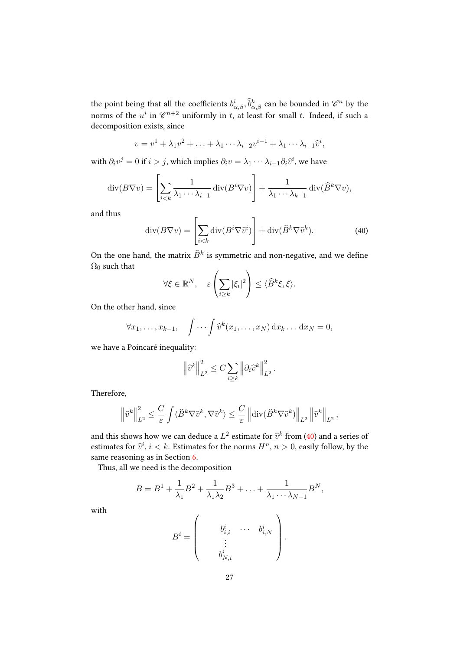the point being that all the coefficients  $b^i_{\alpha,\beta}, \widehat{b}^k_{\alpha,\beta}$  can be bounded in  $\mathscr{C}^n$  by the norms of the  $u^i$  in  $\mathscr{C}^{n+2}$  uniformly in  $t$ , at least for small  $t$ . Indeed, if such a decomposition exists, since

$$
v = v1 + \lambda_1 v2 + \ldots + \lambda_1 \cdots \lambda_{i-2} v^{i-1} + \lambda_1 \cdots \lambda_{i-1} \widehat{v}^i,
$$

with  $\partial_i v^j = 0$  if  $i > j$ , which implies  $\partial_i v = \lambda_1 \cdots \lambda_{i-1} \partial_i \widehat{v}^i$ , we have

$$
\operatorname{div}(B\nabla v) = \left[\sum_{i < k} \frac{1}{\lambda_1 \cdots \lambda_{i-1}} \operatorname{div}(B^i \nabla v)\right] + \frac{1}{\lambda_1 \cdots \lambda_{k-1}} \operatorname{div}(\widehat{B}^k \nabla v),
$$

and thus

<span id="page-26-0"></span>
$$
\operatorname{div}(B\nabla v) = \left[\sum_{i < k} \operatorname{div}(B^i \nabla \hat{v}^i)\right] + \operatorname{div}(\hat{B}^k \nabla \hat{v}^k). \tag{40}
$$

On the one hand, the matrix  $\widehat{B}^k$  is symmetric and non-negative, and we define  $\Omega_0$  such that

$$
\forall \xi \in \mathbb{R}^N, \quad \varepsilon \left( \sum_{i \geq k} |\xi_i|^2 \right) \leq \langle \widehat{B}^k \xi, \xi \rangle.
$$

On the other hand, since

$$
\forall x_1, \ldots, x_{k-1}, \quad \int \cdots \int \widehat{v}^k(x_1, \ldots, x_N) \, dx_k \ldots \, dx_N = 0,
$$

we have a Poincaré inequality:

$$
\left\|\widehat{v}^k\right\|_{L^2}^2 \leq C \sum_{i\geq k} \left\|\partial_i \widehat{v}^k\right\|_{L^2}^2.
$$

Therefore,

$$
\left\|\widehat v^k\right\|_{L^2}^2\leq \frac{C}{\varepsilon}\int \langle \widehat{B}^k\nabla \widehat v^k,\nabla \widehat v^k\rangle\leq \frac{C}{\varepsilon}\left\|{\rm div}(\widehat{B}^k\nabla \widehat v^k)\right\|_{L^2}\left\|\widehat v^k\right\|_{L^2},
$$

and this shows how we can deduce a  $L^2$  estimate for  $\hat{v}^k$  from [\(40\)](#page-26-0) and a series of estimates for  $\hat{v}^i$ ,  $i < k$ . Estimates for the norms  $H^n$ ,  $n > 0$ , easily follow, by the same reasoning as in Section [6.](#page-19-0)

Thus, all we need is the decomposition

$$
B=B1+\frac{1}{\lambda_1}B2+\frac{1}{\lambda_1\lambda_2}B3+\ldots+\frac{1}{\lambda_1\cdots\lambda_{N-1}}BN,
$$

with

$$
B^i=\left(\begin{array}{cccc} &b^i_{i,i}&\cdots&b^i_{i,N}\\ &\vdots&&\\ &b^i_{N,i}&\end{array}\right).
$$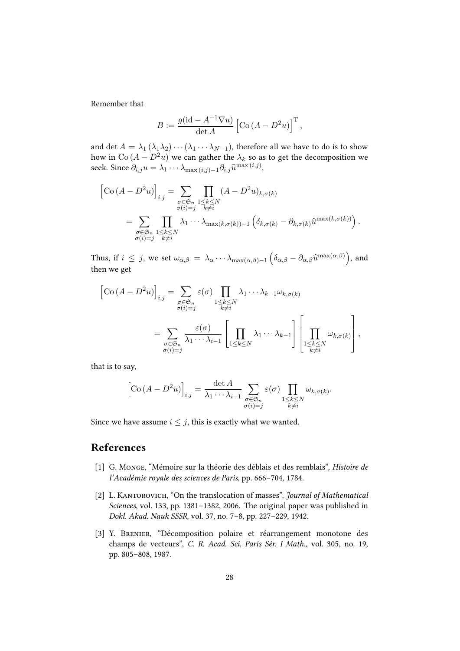Remember that

$$
B := \frac{g(\mathrm{id} - A^{-1} \nabla u)}{\det A} \left[ \mathrm{Co}\left( A - D^2 u \right) \right]^\mathrm{T},
$$

and det  $A = \lambda_1 (\lambda_1 \lambda_2) \cdots (\lambda_1 \cdots \lambda_{N-1})$ , therefore all we have to do is to show how in Co  $(A - D<sup>2</sup>u)$  we can gather the  $\lambda_k$  so as to get the decomposition we seek. Since  $\partial_{i,j} u = \lambda_1 \cdots \lambda_{\max(i,j)-1} \partial_{i,j} \widehat{u}^{\max(i,j)},$ 

$$
\begin{split} \left[\mathrm{Co}\left(A-D^{2}u\right)\right]_{i,j} &= \sum_{\substack{\sigma\in\mathfrak{S}_{n} \\ \sigma(i)=j}}\prod_{\substack{1\leq k\leq N \\ k\neq i}}(A-D^{2}u)_{k,\sigma(k)} \\ &= \sum_{\substack{\sigma\in\mathfrak{S}_{n} \\ \sigma(i)=j}}\prod_{\substack{1\leq k\leq N \\ k\neq i}}\lambda_{1}\cdots\lambda_{\max(k,\sigma(k))-1}\left(\delta_{k,\sigma(k)}-\partial_{k,\sigma(k)}\widehat{u}^{\max(k,\sigma(k))}\right). \end{split}
$$

Thus, if  $i \leq j$ , we set  $\omega_{\alpha,\beta} = \lambda_{\alpha} \cdots \lambda_{\max(\alpha,\beta)-1} \left( \delta_{\alpha,\beta} - \partial_{\alpha,\beta} \widehat{u}^{\max(\alpha,\beta)} \right)$ , and then we get

$$
\begin{split} \left[\mathrm{Co}\left(A-D^{2}u\right)\right]_{i,j} &= \sum_{\substack{\sigma \in \mathfrak{S}_{n} \\ \sigma(i)=j}} \varepsilon(\sigma) \prod_{\substack{1 \leq k \leq N \\ k \neq i}} \lambda_{1} \cdots \lambda_{k-1} \omega_{k,\sigma(k)} \\ &= \sum_{\substack{\sigma \in \mathfrak{S}_{n} \\ \sigma(i)=j}} \frac{\varepsilon(\sigma)}{\lambda_{1} \cdots \lambda_{i-1}} \left[\prod_{1 \leq k \leq N} \lambda_{1} \cdots \lambda_{k-1}\right] \left[\prod_{\substack{1 \leq k \leq N \\ k \neq i}} \omega_{k,\sigma(k)}\right], \end{split}
$$

that is to say,

$$
\left[\mathrm{Co}\left(A-D^2u\right)\right]_{i,j} = \frac{\det A}{\lambda_1 \cdots \lambda_{i-1}} \sum_{\substack{\sigma \in \mathfrak{S}_n \\ \sigma(i)=j}} \varepsilon(\sigma) \prod_{\substack{1 \leq k \leq N \\ k \neq i}} \omega_{k,\sigma(k)}.
$$

Since we have assume  $i \leq j$ , this is exactly what we wanted.

# References

- <span id="page-27-0"></span>[1] G. Monge, "Mémoire sur la théorie des déblais et des remblais", Histoire de l'Académie royale des sciences de Paris, pp. 666–704, 1784.
- <span id="page-27-1"></span>[2] L. KANTOROVICH, "On the translocation of masses", *Journal of Mathematical* Sciences, vol. 133, pp. 1381–1382, 2006. The original paper was published in Dokl. Akad. Nauk SSSR, vol. 37, no. 7–8, pp. 227–229, 1942.
- <span id="page-27-2"></span>[3] Y. Brenier, "Décomposition polaire et réarrangement monotone des champs de vecteurs", C. R. Acad. Sci. Paris Sér. I Math., vol. 305, no. 19, pp. 805–808, 1987.